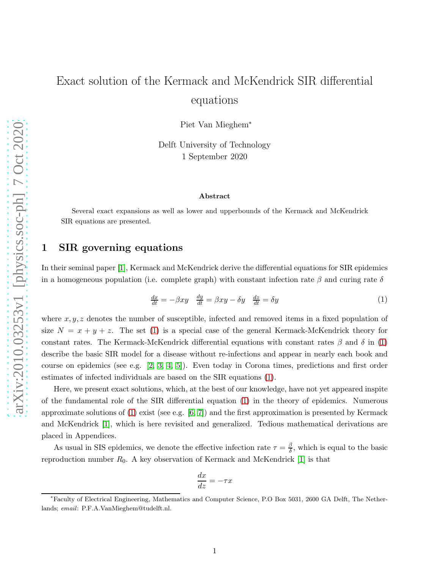# Exact solution of the Kermack and McKendrick SIR differential equations

Piet Van Mieghem<sup>∗</sup>

Delft University of Technology 1 September 2020

#### Abstract

Several exact expansions as well as lower and upperbounds of the Kermack and McKendrick SIR equations are presented.

## 1 SIR governing equations

In their seminal paper [\[1\]](#page-15-0), Kermack and McKendrick derive the differential equations for SIR epidemics in a homogeneous population (i.e. complete graph) with constant infection rate  $\beta$  and curing rate  $\delta$ 

<span id="page-0-0"></span>
$$
\frac{dx}{dt} = -\beta xy \quad \frac{dy}{dt} = \beta xy - \delta y \quad \frac{dz}{dt} = \delta y \tag{1}
$$

where  $x, y, z$  denotes the number of susceptible, infected and removed items in a fixed population of size  $N = x + y + z$ . The set [\(1\)](#page-0-0) is a special case of the general Kermack-McKendrick theory for constant rates. The Kermack-McKendrick differential equations with constant rates  $\beta$  and  $\delta$  in [\(1\)](#page-0-0) describe the basic SIR model for a disease without re-infections and appear in nearly each book and course on epidemics (see e.g. [\[2,](#page-15-1) [3,](#page-15-2) [4,](#page-15-3) [5\]](#page-15-4)). Even today in Corona times, predictions and first order estimates of infected individuals are based on the SIR equations [\(1\)](#page-0-0).

Here, we present exact solutions, which, at the best of our knowledge, have not yet appeared inspite of the fundamental role of the SIR differential equation [\(1\)](#page-0-0) in the theory of epidemics. Numerous approximate solutions of  $(1)$  exist (see e.g.  $[6, 7]$  $[6, 7]$ ) and the first approximation is presented by Kermack and McKendrick [\[1\]](#page-15-0), which is here revisited and generalized. Tedious mathematical derivations are placed in Appendices.

As usual in SIS epidemics, we denote the effective infection rate  $\tau = \frac{\beta}{\delta}$  $\frac{\beta}{\delta}$ , which is equal to the basic reproduction number  $R_0$ . A key observation of Kermack and McKendrick [\[1\]](#page-15-0) is that

$$
\frac{dx}{dz} = -\tau x
$$

<sup>∗</sup>Faculty of Electrical Engineering, Mathematics and Computer Science, P.O Box 5031, 2600 GA Delft, The Netherlands; email: P.F.A.VanMieghem@tudelft.nl.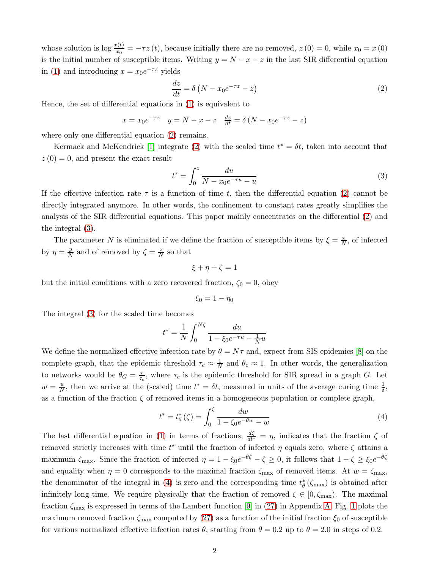whose solution is  $\log \frac{x(t)}{x_0} = -\tau z(t)$ , because initially there are no removed,  $z(0) = 0$ , while  $x_0 = x(0)$ is the initial number of susceptible items. Writing  $y = N - x - z$  in the last SIR differential equation in [\(1\)](#page-0-0) and introducing  $x = x_0 e^{-\tau z}$  yields

<span id="page-1-0"></span>
$$
\frac{dz}{dt} = \delta \left( N - x_0 e^{-\tau z} - z \right) \tag{2}
$$

Hence, the set of differential equations in [\(1\)](#page-0-0) is equivalent to

$$
x = x_0 e^{-\tau z}
$$
  $y = N - x - z$   $\frac{dz}{dt} = \delta (N - x_0 e^{-\tau z} - z)$ 

where only one differential equation [\(2\)](#page-1-0) remains.

Kermack and McKendrick [\[1\]](#page-15-0) integrate [\(2\)](#page-1-0) with the scaled time  $t^* = \delta t$ , taken into account that  $z(0) = 0$ , and present the exact result

<span id="page-1-1"></span>
$$
t^* = \int_0^z \frac{du}{N - x_0 e^{-\tau u} - u} \tag{3}
$$

If the effective infection rate  $\tau$  is a function of time t, then the differential equation [\(2\)](#page-1-0) cannot be directly integrated anymore. In other words, the confinement to constant rates greatly simplifies the analysis of the SIR differential equations. This paper mainly concentrates on the differential [\(2\)](#page-1-0) and the integral [\(3\)](#page-1-1).

The parameter N is eliminated if we define the fraction of susceptible items by  $\xi = \frac{x}{N}$ , of infected by  $\eta = \frac{y}{\Delta}$  $\frac{y}{N}$  and of removed by  $\zeta = \frac{z}{N}$  $\frac{z}{N}$  so that

$$
\xi + \eta + \zeta = 1
$$

but the initial conditions with a zero recovered fraction,  $\zeta_0 = 0$ , obey

$$
\xi_0=1-\eta_0
$$

The integral [\(3\)](#page-1-1) for the scaled time becomes

$$
t^* = \frac{1}{N} \int_0^{N\zeta} \frac{du}{1 - \xi_0 e^{-\tau u} - \frac{1}{N}u}
$$

We define the normalized effective infection rate by  $\theta = N\tau$  and, expect from SIS epidemics [\[8\]](#page-15-7) on the complete graph, that the epidemic threshold  $\tau_c \approx \frac{1}{N}$  and  $\theta_c \approx 1$ . In other words, the generalization to networks would be  $\theta_G = \frac{7}{\tau_G}$  $\frac{\tau}{\tau_c}$ , where  $\tau_c$  is the epidemic threshold for SIR spread in a graph G. Let  $w = \frac{u}{N}$  $\frac{u}{N}$ , then we arrive at the (scaled) time  $t^* = \delta t$ , measured in units of the average curing time  $\frac{1}{\delta}$ , as a function of the fraction  $\zeta$  of removed items in a homogeneous population or complete graph,

<span id="page-1-2"></span>
$$
t^* = t^*_{\theta}(\zeta) = \int_0^{\zeta} \frac{dw}{1 - \zeta_0 e^{-\theta w} - w}
$$
 (4)

The last differential equation in [\(1\)](#page-0-0) in terms of fractions,  $\frac{d\zeta}{dt^*} = \eta$ , indicates that the fraction  $\zeta$  of removed strictly increases with time  $t^*$  until the fraction of infected  $\eta$  equals zero, where  $\zeta$  attains a maximum  $\zeta_{\text{max}}$ . Since the fraction of infected  $\eta = 1 - \xi_0 e^{-\theta \zeta} - \zeta \ge 0$ , it follows that  $1 - \zeta \ge \xi_0 e^{-\theta \zeta}$ and equality when  $\eta = 0$  corresponds to the maximal fraction  $\zeta_{\text{max}}$  of removed items. At  $w = \zeta_{\text{max}}$ , the denominator of the integral in [\(4\)](#page-1-2) is zero and the corresponding time  $t^*_{\theta}(\zeta_{\text{max}})$  is obtained after infinitely long time. We require physically that the fraction of removed  $\zeta \in [0, \zeta_{\text{max}})$ . The maximal fraction  $\zeta_{\text{max}}$  is expressed in terms of the Lambert function [\[9\]](#page-15-8) in [\(27\)](#page-16-0) in Appendix [A.](#page-16-1) Fig. [1](#page-2-0) plots the maximum removed fraction  $\zeta_{\text{max}}$  computed by [\(27\)](#page-16-0) as a function of the initial fraction  $\xi_0$  of susceptible for various normalized effective infection rates  $\theta$ , starting from  $\theta = 0.2$  up to  $\theta = 2.0$  in steps of 0.2.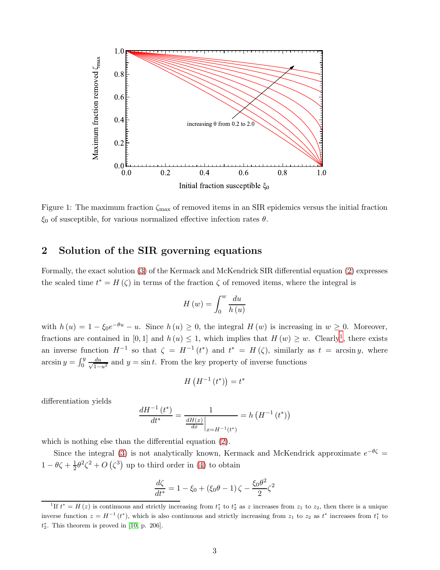

<span id="page-2-0"></span>Figure 1: The maximum fraction  $\zeta_{\text{max}}$  of removed items in an SIR epidemics versus the initial fraction  $\xi_0$  of susceptible, for various normalized effective infection rates  $\theta$ .

# <span id="page-2-2"></span>2 Solution of the SIR governing equations

Formally, the exact solution [\(3\)](#page-1-1) of the Kermack and McKendrick SIR differential equation [\(2\)](#page-1-0) expresses the scaled time  $t^* = H(\zeta)$  in terms of the fraction  $\zeta$  of removed items, where the integral is

$$
H\left(w\right) = \int_0^w \frac{du}{h\left(u\right)}
$$

with  $h(u) = 1 - \xi_0 e^{-\theta u} - u$ . Since  $h(u) \ge 0$ , the integral  $H(w)$  is increasing in  $w \ge 0$ . Moreover, fractions are contained in [0, [1](#page-2-1)] and  $h(u) \leq 1$ , which implies that  $H(w) \geq w$ . Clearly<sup>1</sup>, there exists an inverse function  $H^{-1}$  so that  $\zeta = H^{-1}(t^*)$  and  $t^* = H(\zeta)$ , similarly as  $t = \arcsin y$ , where arcsin  $y = \int_0^y \frac{du}{\sqrt{1 - 1}}$  $\frac{du}{1-u^2}$  and  $y = \sin t$ . From the key property of inverse functions

$$
H\left(H^{-1}\left(t^*\right)\right) = t^*
$$

differentiation yields

$$
\frac{dH^{-1}(t^*)}{dt^*} = \frac{1}{\frac{dH(x)}{dx}\Big|_{x=H^{-1}(t^*)}} = h\left(H^{-1}(t^*)\right)
$$

which is nothing else than the differential equation [\(2\)](#page-1-0).

Since the integral [\(3\)](#page-1-1) is not analytically known, Kermack and McKendrick approximate  $e^{-\theta \zeta} =$  $1 - \theta \zeta + \frac{1}{2}$  $\frac{1}{2}\theta^2\zeta^2 + O(\zeta^3)$  up to third order in [\(4\)](#page-1-2) to obtain

$$
\frac{d\zeta}{dt^*} = 1 - \xi_0 + (\xi_0 \theta - 1)\zeta - \frac{\xi_0 \theta^2}{2}\zeta^2
$$

<span id="page-2-1"></span><sup>&</sup>lt;sup>1</sup>If  $t^* = H(z)$  is continuous and strictly increasing from  $t_1^*$  to  $t_2^*$  as z increases from  $z_1$  to  $z_2$ , then there is a unique inverse function  $z = H^{-1}(t^*)$ , which is also continuous and strictly increasing from  $z_1$  to  $z_2$  as  $t^*$  increases from  $t_1^*$  to  $t_2^*$ . This theorem is proved in [\[10,](#page-15-9) p. 206].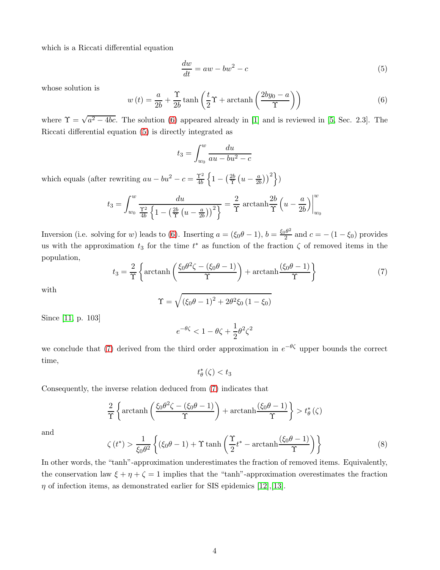which is a Riccati differential equation

<span id="page-3-1"></span>
$$
\frac{dw}{dt} = aw - bw^2 - c \tag{5}
$$

whose solution is

<span id="page-3-0"></span>
$$
w(t) = \frac{a}{2b} + \frac{\Upsilon}{2b} \tanh\left(\frac{t}{2}\Upsilon + \operatorname{arctanh}\left(\frac{2by_0 - a}{\Upsilon}\right)\right)
$$
(6)

where  $\Upsilon = \sqrt{a^2 - 4bc}$ . The solution [\(6\)](#page-3-0) appeared already in [\[1\]](#page-15-0) and is reviewed in [\[5,](#page-15-4) Sec. 2.3]. The Riccati differential equation [\(5\)](#page-3-1) is directly integrated as

$$
t_3 = \int_{w_0}^{w} \frac{du}{au - bu^2 - c}
$$

which equals (after rewriting  $au - bu^2 - c = \frac{\Upsilon^2}{4b}$ 4b  $\left\{1 - \left(\frac{2b}{\Upsilon}\right)$  $\frac{2b}{\Upsilon}\left(u-\frac{a}{2b}\right)$  $\left(\frac{a}{2b}\right)\right)^2$ )

$$
t_3 = \int_{w_0}^{w} \frac{du}{\frac{\Upsilon^2}{4b} \left\{ 1 - \left(\frac{2b}{\Upsilon} \left(u - \frac{a}{2b}\right)\right)^2 \right\}} = \frac{2}{\Upsilon} \operatorname{arctanh} \frac{2b}{\Upsilon} \left(u - \frac{a}{2b}\right) \Big|_{w_0}^{w}
$$

Inversion (i.e. solving for w) leads to [\(6\)](#page-3-0). Inserting  $a = (\xi_0 \theta - 1), b = \frac{\xi_0 \theta^2}{2}$  $\frac{2}{2}$  and  $c = -(1 - \xi_0)$  provides us with the approximation  $t_3$  for the time  $t^*$  as function of the fraction  $\zeta$  of removed items in the population,

<span id="page-3-2"></span>
$$
t_3 = \frac{2}{\Upsilon} \left\{ \arctanh\left(\frac{\xi_0 \theta^2 \zeta - (\xi_0 \theta - 1)}{\Upsilon}\right) + \arctanh\frac{(\xi_0 \theta - 1)}{\Upsilon} \right\}
$$
(7)

with

$$
\Upsilon = \sqrt{(\xi_0 \theta - 1)^2 + 2\theta^2 \xi_0 (1 - \xi_0)}
$$

Since [\[11,](#page-15-10) p. 103]

$$
e^{-\theta \zeta} < 1 - \theta \zeta + \frac{1}{2} \theta^2 \zeta^2
$$

we conclude that [\(7\)](#page-3-2) derived from the third order approximation in  $e^{-\theta \zeta}$  upper bounds the correct time,

 $t_{\theta}^{*}(\zeta) < t_{3}$ 

Consequently, the inverse relation deduced from [\(7\)](#page-3-2) indicates that

$$
\frac{2}{\Upsilon}\left\{\operatorname{arctanh}\left(\frac{\xi_0\theta^2\zeta-(\xi_0\theta-1)}{\Upsilon}\right)+\operatorname{arctanh}\frac{(\xi_0\theta-1)}{\Upsilon}\right\}>t_{\theta}^*\left(\zeta\right)
$$

and

$$
\zeta(t^*) > \frac{1}{\xi_0 \theta^2} \left\{ (\xi_0 \theta - 1) + \Upsilon \tanh\left(\frac{\Upsilon}{2} t^* - \operatorname{arctanh}\frac{(\xi_0 \theta - 1)}{\Upsilon}\right) \right\} \tag{8}
$$

In other words, the "tanh"-approximation underestimates the fraction of removed items. Equivalently, the conservation law  $\xi + \eta + \zeta = 1$  implies that the "tanh"-approximation overestimates the fraction  $\eta$  of infection items, as demonstrated earlier for SIS epidemics [\[12\]](#page-15-11), [\[13\]](#page-15-12).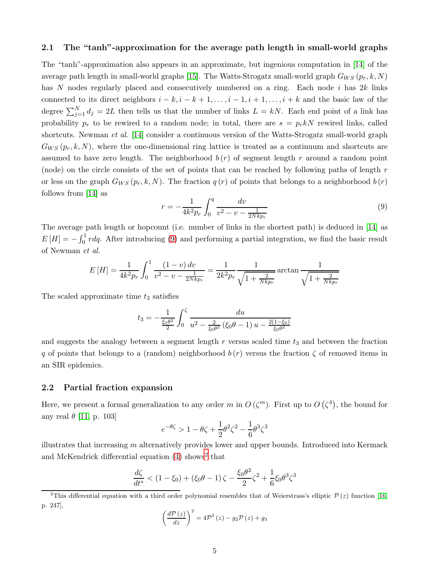#### 2.1 The "tanh"-approximation for the average path length in small-world graphs

The "tanh"-approximation also appears in an approximate, but ingenious computation in [\[14\]](#page-15-13) of the average path length in small-world graphs [\[15\]](#page-15-14). The Watts-Strogatz small-world graph  $G_{WS}(p_r, k, N)$ has N nodes regularly placed and consecutively numbered on a ring. Each node i has 2k links connected to its direct neighbors  $i - k$ ,  $i - k + 1, \ldots, i - 1, i + 1, \ldots, i + k$  and the basic law of the degree  $\sum_{j=1}^{N} d_j = 2L$  then tells us that the number of links  $L = kN$ . Each end point of a link has probability  $p_r$  to be rewired to a random node; in total, there are  $s = p_r kN$  rewired links, called shortcuts. Newman et al. [\[14\]](#page-15-13) consider a continuous version of the Watts-Strogatz small-world graph  $G_{WS}(p_r, k, N)$ , where the one-dimensional ring lattice is treated as a continuum and shortcuts are assumed to have zero length. The neighborhood  $b(r)$  of segment length r around a random point (node) on the circle consists of the set of points that can be reached by following paths of length  $r$ or less on the graph  $G_{WS}(p_r, k, N)$ . The fraction  $q(r)$  of points that belongs to a neighborhood  $b(r)$ follows from [\[14\]](#page-15-13) as

<span id="page-4-0"></span>
$$
r = -\frac{1}{4k^2 p_r} \int_0^q \frac{dv}{v^2 - v - \frac{1}{2Nk p_r}}
$$
(9)

The average path length or hopcount (i.e. number of links in the shortest path) is deduced in [\[14\]](#page-15-13) as  $E[H] = -\int_0^1 r dq$ . After introducing [\(9\)](#page-4-0) and performing a partial integration, we find the basic result of Newman et al.

$$
E\left[H\right] = \frac{1}{4k^2 p_r} \int_0^1 \frac{(1-v) dv}{v^2 - v - \frac{1}{2N k p_r}} = \frac{1}{2k^2 p_r} \frac{1}{\sqrt{1 + \frac{2}{N k p_r}}} \arctan \frac{1}{\sqrt{1 + \frac{2}{N k p_r}}}
$$

The scaled approximate time  $t_3$  satisfies

$$
t_3 = -\frac{1}{\frac{\xi_0 \theta^2}{2}} \int_0^{\zeta} \frac{du}{u^2 - \frac{2}{\xi_0 \theta^2} (\xi_0 \theta - 1) u - \frac{2(1 - \xi_0)}{\xi_0 \theta^2}}
$$

and suggests the analogy between a segment length  $r$  versus scaled time  $t_3$  and between the fraction q of points that belongs to a (random) neighborhood  $b(r)$  versus the fraction  $\zeta$  of removed items in an SIR epidemics.

#### 2.2 Partial fraction expansion

Here, we present a formal generalization to any order m in  $O(\zeta^m)$ . First up to  $O(\zeta^4)$ , the bound for any real  $\theta$  [\[11,](#page-15-10) p. 103]

$$
e^{-\theta \zeta} > 1 - \theta \zeta + \frac{1}{2} \theta^2 \zeta^2 - \frac{1}{6} \theta^3 \zeta^3
$$

illustrates that increasing  $m$  alternatively provides lower and upper bounds. Introduced into Kermack and McKendrick differential equation  $(4)$  shows<sup>[2](#page-4-1)</sup> that

$$
\frac{d\zeta}{dt^*} < (1 - \xi_0) + (\xi_0 \theta - 1) \zeta - \frac{\xi_0 \theta^2}{2} \zeta^2 + \frac{1}{6} \xi_0 \theta^3 \zeta^3
$$

$$
\left(\frac{d\mathcal{P}\left(z\right)}{dz}\right)^{2}=4\mathcal{P}^{3}\left(z\right)-g_{2}\mathcal{P}\left(z\right)+g_{3}
$$

<span id="page-4-1"></span><sup>&</sup>lt;sup>2</sup>This differential equation with a third order polynomial resembles that of Weierstrass's elliptic  $P(z)$  function [\[16,](#page-15-15) p. 247],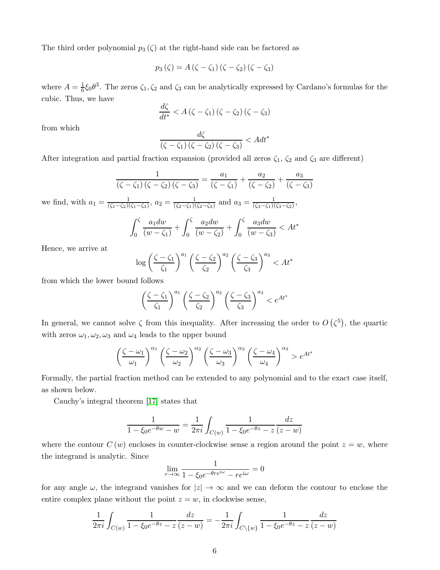The third order polynomial  $p_3(\zeta)$  at the right-hand side can be factored as

$$
p_3(\zeta) = A(\zeta - \zeta_1)(\zeta - \zeta_2)(\zeta - \zeta_3)
$$

where  $A=\frac{1}{6}$  $\frac{1}{6}\xi_0\theta^3$ . The zeros  $\zeta_1, \zeta_2$  and  $\zeta_3$  can be analytically expressed by Cardano's formulas for the cubic. Thus, we have

$$
\frac{d\zeta}{dt^*} < A\left(\zeta - \zeta_1\right)\left(\zeta - \zeta_2\right)\left(\zeta - \zeta_3\right)
$$

from which

$$
\frac{d\zeta}{\left(\zeta-\zeta_1\right)\left(\zeta-\zeta_2\right)\left(\zeta-\zeta_3\right)} < A dt^*
$$

After integration and partial fraction expansion (provided all zeros  $\zeta_1$ ,  $\zeta_2$  and  $\zeta_3$  are different)

$$
\frac{1}{\left(\zeta - \zeta_1\right)\left(\zeta - \zeta_2\right)\left(\zeta - \zeta_3\right)} = \frac{a_1}{\left(\zeta - \zeta_1\right)} + \frac{a_2}{\left(\zeta - \zeta_2\right)} + \frac{a_3}{\left(\zeta - \zeta_3\right)}
$$

we find, with  $a_1 = \frac{1}{(\zeta_1 - \zeta_2)}$  $\frac{1}{(\zeta_1-\zeta_2)(\zeta_1-\zeta_3)}, a_2=\frac{1}{(\zeta_2-\zeta_1)(\zeta_3)}$  $\frac{1}{(\zeta_2-\zeta_1)(\zeta_2-\zeta_3)}$  and  $a_3=\frac{1}{(\zeta_3-\zeta_1)(\zeta_3-\zeta_3)}$  $\frac{1}{(\zeta_3-\zeta_1)(\zeta_3-\zeta_2)}$ 

$$
\int_0^{\zeta} \frac{a_1 dw}{(w - \zeta_1)} + \int_0^{\zeta} \frac{a_2 dw}{(w - \zeta_2)} + \int_0^{\zeta} \frac{a_3 dw}{(w - \zeta_3)} < At^*
$$

Hence, we arrive at

$$
\log\left(\frac{\zeta-\zeta_1}{\zeta_1}\right)^{a_1}\left(\frac{\zeta-\zeta_2}{\zeta_2}\right)^{a_2}\left(\frac{\zeta-\zeta_3}{\zeta_3}\right)^{a_3} < At^*
$$

from which the lower bound follows

$$
\left(\frac{\zeta-\zeta_1}{\zeta_1}\right)^{a_1} \left(\frac{\zeta-\zeta_2}{\zeta_2}\right)^{a_2} \left(\frac{\zeta-\zeta_3}{\zeta_3}\right)^{a_3} < e^{At^*}
$$

In general, we cannot solve  $\zeta$  from this inequality. After increasing the order to  $O(\zeta^5)$ , the quartic with zeros  $\omega_1, \omega_2, \omega_3$  and  $\omega_4$  leads to the upper bound

$$
\left(\frac{\zeta-\omega_1}{\omega_1}\right)^{\alpha_1}\left(\frac{\zeta-\omega_2}{\omega_2}\right)^{\alpha_2}\left(\frac{\zeta-\omega_3}{\omega_3}\right)^{\alpha_3}\left(\frac{\zeta-\omega_4}{\omega_4}\right)^{\alpha_3} > e^{At^*}
$$

Formally, the partial fraction method can be extended to any polynomial and to the exact case itself, as shown below.

Cauchy's integral theorem [\[17\]](#page-15-16) states that

$$
\frac{1}{1 - \xi_0 e^{-\theta w} - w} = \frac{1}{2\pi i} \int_{C(w)} \frac{1}{1 - \xi_0 e^{-\theta z} - z} \frac{dz}{(z - w)}
$$

where the contour  $C(w)$  encloses in counter-clockwise sense a region around the point  $z = w$ , where the integrand is analytic. Since

$$
\lim_{r \to \infty} \frac{1}{1 - \xi_0 e^{-\theta r e^{i\omega}} - r e^{i\omega}} = 0
$$

for any angle  $\omega$ , the integrand vanishes for  $|z| \to \infty$  and we can deform the contour to enclose the entire complex plane without the point  $z = w$ , in clockwise sense,

$$
\frac{1}{2\pi i} \int_{C(w)} \frac{1}{1 - \xi_0 e^{-\theta z} - z} \frac{dz}{(z - w)} = -\frac{1}{2\pi i} \int_{C \setminus \{w\}} \frac{1}{1 - \xi_0 e^{-\theta z} - z} \frac{dz}{(z - w)}
$$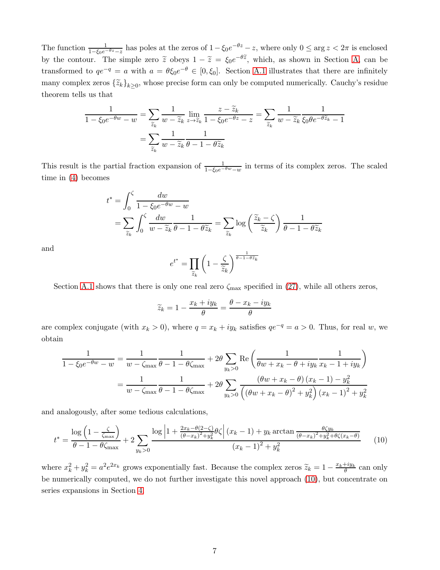The function  $\frac{1}{1-\xi_0e^{-\theta z}-z}$  has poles at the zeros of  $1-\xi_0e^{-\theta z}-z$ , where only  $0 \le \arg z < 2\pi$  is enclosed by the contour. The simple zero  $\tilde{z}$  obeys  $1 - \tilde{z} = \xi_0 e^{-\theta \tilde{z}}$ , which, as shown in Section [A,](#page-16-1) can be transformed to  $qe^{-q} = a$  with  $a = \theta \xi_0 e^{-\theta} \in [0, \xi_0]$ . Section [A.1](#page-16-2) illustrates that there are infinitely many complex zeros  $\{\tilde{z}_k\}_{k\geq 0}$ , whose precise form can only be computed numerically. Cauchy's residue theorem tells us that

$$
\frac{1}{1 - \xi_0 e^{-\theta w} - w} = \sum_{\widetilde{z}_k} \frac{1}{w - \widetilde{z}_k} \lim_{z \to \widetilde{z}_k} \frac{z - \widetilde{z}_k}{1 - \xi_0 e^{-\theta z} - z} = \sum_{\widetilde{z}_k} \frac{1}{w - \widetilde{z}_k} \frac{1}{\xi_0 \theta e^{-\theta \widetilde{z}_k} - 1}
$$

$$
= \sum_{\widetilde{z}_k} \frac{1}{w - \widetilde{z}_k} \frac{1}{\theta - 1 - \theta \widetilde{z}_k}
$$

This result is the partial fraction expansion of  $\frac{1}{1-\xi_0e^{-\theta w}-w}$  in terms of its complex zeros. The scaled time in [\(4\)](#page-1-2) becomes

$$
t^* = \int_0^{\zeta} \frac{dw}{1 - \xi_0 e^{-\theta w} - w}
$$
  
=  $\sum_{\tilde{z}_k} \int_0^{\zeta} \frac{dw}{w - \tilde{z}_k} \frac{1}{\theta - 1 - \theta \tilde{z}_k} = \sum_{\tilde{z}_k} \log \left( \frac{\tilde{z}_k - \zeta}{\tilde{z}_k} \right) \frac{1}{\theta - 1 - \theta \tilde{z}_k}$ 

and

$$
e^{t^*} = \prod_{\widetilde{z}_k} \left(1 - \frac{\zeta}{\widetilde{z}_k}\right)^{\frac{1}{\theta - 1 - \theta \widetilde{z}_k}}
$$

Section [A.1](#page-16-2) shows that there is only one real zero  $\zeta_{\text{max}}$  specified in [\(27\)](#page-16-0), while all others zeros,

$$
\widetilde{z}_k = 1 - \frac{x_k + iy_k}{\theta} = \frac{\theta - x_k - iy_k}{\theta}
$$

are complex conjugate (with  $x_k > 0$ ), where  $q = x_k + iy_k$  satisfies  $qe^{-q} = a > 0$ . Thus, for real w, we obtain

$$
\frac{1}{1 - \xi_0 e^{-\theta w} - w} = \frac{1}{w - \zeta_{\text{max}}} \frac{1}{\theta - 1 - \theta \zeta_{\text{max}}} + 2\theta \sum_{y_k > 0} \text{Re}\left(\frac{1}{\theta w + x_k - \theta + iy_k} \frac{1}{x_k - 1 + iy_k}\right)
$$

$$
= \frac{1}{w - \zeta_{\text{max}}} \frac{1}{\theta - 1 - \theta \zeta_{\text{max}}} + 2\theta \sum_{y_k > 0} \frac{(\theta w + x_k - \theta) (x_k - 1) - y_k^2}{\left((\theta w + x_k - \theta)^2 + y_k^2\right)(x_k - 1)^2 + y_k^2}
$$

and analogously, after some tedious calculations,

<span id="page-6-0"></span>
$$
t^* = \frac{\log\left(1 - \frac{\zeta}{\zeta_{\text{max}}}\right)}{\theta - 1 - \theta\zeta_{\text{max}}} + 2\sum_{y_k > 0} \frac{\log\left|1 + \frac{2x_k - \theta(2 - \zeta)}{(\theta - x_k)^2 + y_k^2} \theta \zeta\right| (x_k - 1) + y_k \arctan\frac{\theta \zeta y_k}{(\theta - x_k)^2 + y_k^2 + \theta \zeta (x_k - \theta)}}{(x_k - 1)^2 + y_k^2} \tag{10}
$$

where  $x_k^2 + y_k^2 = a^2 e^{2x_k}$  grows exponentially fast. Because the complex zeros  $\tilde{z}_k = 1 - \frac{x_k + iy_k}{\theta}$  can only be numerically computed, we do not further investigate this novel approach [\(10\)](#page-6-0), but concentrate on series expansions in Section [4.](#page-9-0)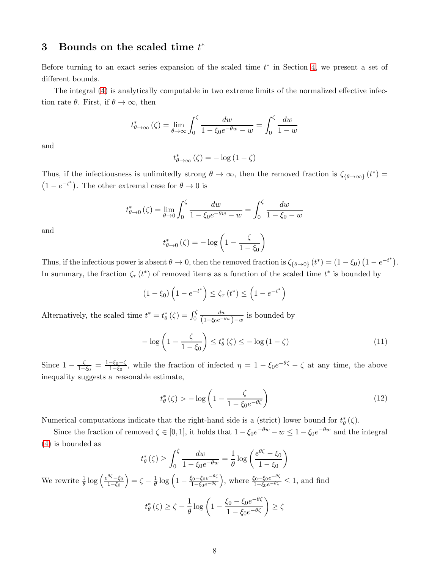# <span id="page-7-2"></span>3 Bounds on the scaled time  $t^*$

Before turning to an exact series expansion of the scaled time  $t^*$  in Section [4,](#page-9-0) we present a set of different bounds.

The integral [\(4\)](#page-1-2) is analytically computable in two extreme limits of the normalized effective infection rate  $\theta$ . First, if  $\theta \to \infty$ , then

$$
t_{\theta \to \infty}^* \left( \zeta \right) = \lim_{\theta \to \infty} \int_0^{\zeta} \frac{dw}{1 - \xi_0 e^{-\theta w} - w} = \int_0^{\zeta} \frac{dw}{1 - w}
$$

and

$$
t_{\theta \to \infty}^*(\zeta) = -\log(1 - \zeta)
$$

Thus, if the infectiousness is unlimitedly strong  $\theta \to \infty$ , then the removed fraction is  $\zeta_{\{\theta \to \infty\}}(t^*)$  $(1-e^{-t^*})$ . The other extremal case for  $\theta \to 0$  is

$$
t_{\theta \to 0}^{*}(\zeta) = \lim_{\theta \to 0} \int_{0}^{\zeta} \frac{dw}{1 - \xi_0 e^{-\theta w} - w} = \int_{0}^{\zeta} \frac{dw}{1 - \xi_0 - w}
$$

and

$$
t_{\theta \to 0}^* \left( \zeta \right) = -\log \left( 1 - \frac{\zeta}{1 - \xi_0} \right)
$$

Thus, if the infectious power is absent  $\theta \to 0$ , then the removed fraction is  $\zeta_{\{\theta \to 0\}}(t^*) = (1 - \xi_0)(1 - e^{-t^*})$ . In summary, the fraction  $\zeta_{\tau}(t^*)$  of removed items as a function of the scaled time  $t^*$  is bounded by

$$
(1 - \xi_0) \left( 1 - e^{-t^*} \right) \le \zeta_\tau \left( t^* \right) \le \left( 1 - e^{-t^*} \right)
$$

Alternatively, the scaled time  $t^* = t^*_{\theta}(\zeta) = \int_0^{\zeta}$  $\frac{dw}{(1-\xi_0e^{-\theta w})-w}$  is bounded by

<span id="page-7-0"></span>
$$
-\log\left(1-\frac{\zeta}{1-\xi_0}\right) \le t_\theta^*\left(\zeta\right) \le -\log\left(1-\zeta\right) \tag{11}
$$

Since  $1 - \frac{\zeta}{1-\zeta}$  $\frac{\zeta}{1-\xi_0} = \frac{1-\xi_0-\zeta}{1-\xi_0}$  $\frac{-\xi_0-\zeta}{1-\xi_0}$ , while the fraction of infected  $\eta = 1 - \xi_0 e^{-\theta \zeta} - \zeta$  at any time, the above inequality suggests a reasonable estimate,

<span id="page-7-1"></span>
$$
t_{\theta}^{*}\left(\zeta\right) > -\log\left(1 - \frac{\zeta}{1 - \xi_{0}e^{-\theta\zeta}}\right) \tag{12}
$$

Numerical computations indicate that the right-hand side is a (strict) lower bound for  $t^*_{\theta}(\zeta)$ .

Since the fraction of removed  $\zeta \in [0, 1]$ , it holds that  $1 - \xi_0 e^{-\theta w} - w \leq 1 - \xi_0 e^{-\theta w}$  and the integral [\(4\)](#page-1-2) is bounded as

$$
t_{\theta}^{*}(\zeta) \ge \int_{0}^{\zeta} \frac{dw}{1 - \xi_{0}e^{-\theta w}} = \frac{1}{\theta} \log \left( \frac{e^{\theta \zeta} - \xi_{0}}{1 - \xi_{0}} \right)
$$

We rewrite  $\frac{1}{\theta} \log \left( \frac{e^{\theta \zeta} - \xi_0}{1 - \xi_0} \right)$  $1-\xi_0$  $\left(1 - \frac{\xi_0 - \xi_0 e^{-\theta \zeta}}{1 - \xi_0 e^{-\theta \zeta}}\right)$ , where  $\frac{\xi_0 - \xi_0 e^{-\theta \zeta}}{1 - \xi_0 e^{-\theta \zeta}} \le 1$ , and find

$$
t_{\theta}^{*}(\zeta) \ge \zeta - \frac{1}{\theta} \log \left( 1 - \frac{\xi_{0} - \xi_{0} e^{-\theta \zeta}}{1 - \xi_{0} e^{-\theta \zeta}} \right) \ge \zeta
$$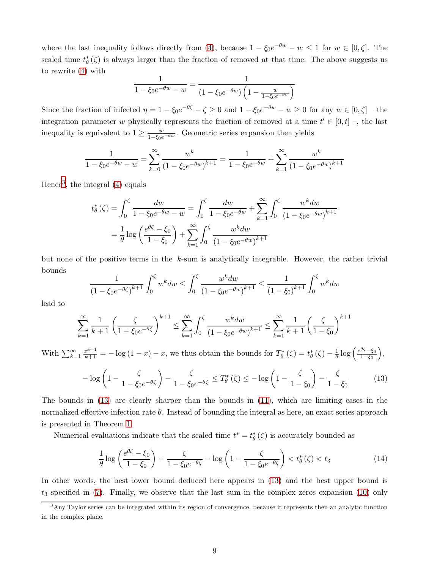where the last inequality follows directly from [\(4\)](#page-1-2), because  $1 - \xi_0 e^{-\theta w} - w \le 1$  for  $w \in [0, \zeta]$ . The scaled time  $t^*_{\theta}(\zeta)$  is always larger than the fraction of removed at that time. The above suggests us to rewrite [\(4\)](#page-1-2) with

$$
\frac{1}{1 - \xi_0 e^{-\theta w} - w} = \frac{1}{(1 - \xi_0 e^{-\theta w}) \left(1 - \frac{w}{1 - \xi_0 e^{-\theta w}}\right)}
$$

Since the fraction of infected  $\eta = 1 - \xi_0 e^{-\theta \zeta} - \zeta \ge 0$  and  $1 - \xi_0 e^{-\theta w} - w \ge 0$  for any  $w \in [0, \zeta]$  - the integration parameter w physically represents the fraction of removed at a time  $t' \in [0, t]$  -, the last inequality is equivalent to  $1 \ge \frac{w}{1-\xi_0 e^{-\theta w}}$ . Geometric series expansion then yields

$$
\frac{1}{1 - \xi_0 e^{-\theta w} - w} = \sum_{k=0}^{\infty} \frac{w^k}{\left(1 - \xi_0 e^{-\theta w}\right)^{k+1}} = \frac{1}{1 - \xi_0 e^{-\theta w}} + \sum_{k=1}^{\infty} \frac{w^k}{\left(1 - \xi_0 e^{-\theta w}\right)^{k+1}}
$$

Hence[3](#page-8-0) , the integral [\(4\)](#page-1-2) equals

$$
t_{\theta}^{*}(\zeta) = \int_{0}^{\zeta} \frac{dw}{1 - \xi_{0}e^{-\theta w} - w} = \int_{0}^{\zeta} \frac{dw}{1 - \xi_{0}e^{-\theta w}} + \sum_{k=1}^{\infty} \int_{0}^{\zeta} \frac{w^{k} dw}{(1 - \xi_{0}e^{-\theta w})^{k+1}}
$$

$$
= \frac{1}{\theta} \log \left( \frac{e^{\theta \zeta} - \xi_{0}}{1 - \xi_{0}} \right) + \sum_{k=1}^{\infty} \int_{0}^{\zeta} \frac{w^{k} dw}{(1 - \xi_{0}e^{-\theta w})^{k+1}}
$$

but none of the positive terms in the  $k$ -sum is analytically integrable. However, the rather trivial bounds

$$
\frac{1}{(1 - \xi_0 e^{-\theta \zeta})^{k+1}} \int_0^{\zeta} w^k dw \le \int_0^{\zeta} \frac{w^k dw}{(1 - \xi_0 e^{-\theta w})^{k+1}} \le \frac{1}{(1 - \xi_0)^{k+1}} \int_0^{\zeta} w^k dw
$$

lead to

$$
\sum_{k=1}^{\infty} \frac{1}{k+1} \left( \frac{\zeta}{1 - \xi_0 e^{-\theta \zeta}} \right)^{k+1} \le \sum_{k=1}^{\infty} \int_0^{\zeta} \frac{w^k dw}{(1 - \xi_0 e^{-\theta w})^{k+1}} \le \sum_{k=1}^{\infty} \frac{1}{k+1} \left( \frac{\zeta}{1 - \xi_0} \right)^{k+1}
$$

With  $\sum_{k=1}^{\infty} \frac{x^{k+1}}{k+1} = -\log(1-x) - x$ , we thus obtain the bounds for  $T^*_{\theta}(\zeta) = t^*_{\theta}(\zeta) - \frac{1}{\theta} \log\left(\frac{e^{\theta \zeta} - \xi_0}{1 - \xi_0}\right)$  $1-\xi_0$  $\big),$ 

<span id="page-8-1"></span>
$$
-\log\left(1-\frac{\zeta}{1-\xi_0 e^{-\theta\zeta}}\right)-\frac{\zeta}{1-\xi_0 e^{-\theta\zeta}}\leq T_{\theta}^*\left(\zeta\right)\leq -\log\left(1-\frac{\zeta}{1-\xi_0}\right)-\frac{\zeta}{1-\xi_0}\tag{13}
$$

The bounds in [\(13\)](#page-8-1) are clearly sharper than the bounds in [\(11\)](#page-7-0), which are limiting cases in the normalized effective infection rate  $\theta$ . Instead of bounding the integral as here, an exact series approach is presented in Theorem [1.](#page-9-1)

Numerical evaluations indicate that the scaled time  $t^* = t^*_{\theta}(\zeta)$  is accurately bounded as

$$
\frac{1}{\theta} \log \left( \frac{e^{\theta \zeta} - \xi_0}{1 - \xi_0} \right) - \frac{\zeta}{1 - \xi_0 e^{-\theta \zeta}} - \log \left( 1 - \frac{\zeta}{1 - \xi_0 e^{-\theta \zeta}} \right) < t_{\theta}^*(\zeta) < t_3 \tag{14}
$$

In other words, the best lower bound deduced here appears in [\(13\)](#page-8-1) and the best upper bound is  $t_3$  specified in [\(7\)](#page-3-2). Finally, we observe that the last sum in the complex zeros expansion [\(10\)](#page-6-0) only

<span id="page-8-0"></span><sup>&</sup>lt;sup>3</sup>Any Taylor series can be integrated within its region of convergence, because it represents then an analytic function in the complex plane.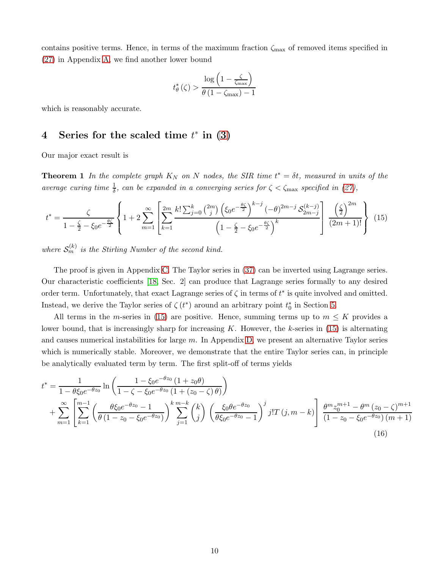contains positive terms. Hence, in terms of the maximum fraction  $\zeta_{\text{max}}$  of removed items specified in [\(27\)](#page-16-0) in Appendix [A,](#page-16-1) we find another lower bound

$$
t_{\theta}^{*}\left(\zeta\right) > \frac{\log\left(1 - \frac{\zeta}{\zeta_{\max}}\right)}{\theta\left(1 - \zeta_{\max}\right) - 1}
$$

<span id="page-9-0"></span>which is reasonably accurate.

# 4 Series for the scaled time  $t^*$  in  $(3)$

<span id="page-9-1"></span>Our major exact result is

**Theorem 1** In the complete graph  $K_N$  on N nodes, the SIR time  $t^* = \delta t$ , measured in units of the average curing time  $\frac{1}{\delta}$ , can be expanded in a converging series for  $\zeta < \zeta_{\text{max}}$  specified in [\(27\)](#page-16-0),

<span id="page-9-2"></span>
$$
t^* = \frac{\zeta}{1 - \frac{\zeta}{2} - \zeta_0 e^{-\frac{\theta \zeta}{2}}} \left\{ 1 + 2 \sum_{m=1}^{\infty} \left[ \sum_{k=1}^{2m} \frac{k! \sum_{j=0}^k \binom{2m}{j} \left( \xi_0 e^{-\frac{\theta \zeta}{2}} \right)^{k-j} (-\theta)^{2m-j} \mathcal{S}_{2m-j}^{(k-j)} \right] \frac{\left( \frac{\zeta}{2} \right)^{2m}}{(2m+1)!} \right\} (15)
$$

where  $S_m^{(k)}$  is the Stirling Number of the second kind.

The proof is given in Appendix [C.](#page-19-0) The Taylor series in [\(37\)](#page-20-0) can be inverted using Lagrange series. Our characteristic coefficients [\[18,](#page-15-17) Sec. 2] can produce that Lagrange series formally to any desired order term. Unfortunately, that exact Lagrange series of  $\zeta$  in terms of  $t^*$  is quite involved and omitted. Instead, we derive the Taylor series of  $\zeta(t^*)$  around an arbitrary point  $t_0^*$  in Section [5.](#page-11-0)

All terms in the m-series in [\(15\)](#page-9-2) are positive. Hence, summing terms up to  $m \leq K$  provides a lower bound, that is increasingly sharp for increasing  $K$ . However, the  $k$ -series in [\(15\)](#page-9-2) is alternating and causes numerical instabilities for large  $m$ . In Appendix [D,](#page-22-0) we present an alternative Taylor series which is numerically stable. Moreover, we demonstrate that the entire Taylor series can, in principle be analytically evaluated term by term. The first split-off of terms yields

<span id="page-9-3"></span>
$$
t^* = \frac{1}{1 - \theta \xi_0 e^{-\theta z_0}} \ln \left( \frac{1 - \xi_0 e^{-\theta z_0} \left( 1 + z_0 \theta \right)}{1 - \zeta - \xi_0 e^{-\theta z_0} \left( 1 + (z_0 - \zeta) \theta \right)} \right) + \sum_{m=1}^{\infty} \left[ \sum_{k=1}^{m-1} \left( \frac{\theta \xi_0 e^{-\theta z_0} - 1}{\theta \left( 1 - z_0 - \xi_0 e^{-\theta z_0} \right)} \right)^k \sum_{j=1}^{m-k} \binom{k}{j} \left( \frac{\xi_0 \theta e^{-\theta z_0}}{\theta \xi_0 e^{-\theta z_0} - 1} \right)^j j! T(j, m-k) \right] \frac{\theta^m z_0^{m+1} - \theta^m (z_0 - \zeta)^{m+1}}{\left( 1 - z_0 - \xi_0 e^{-\theta z_0} \right) (m+1)} \tag{16}
$$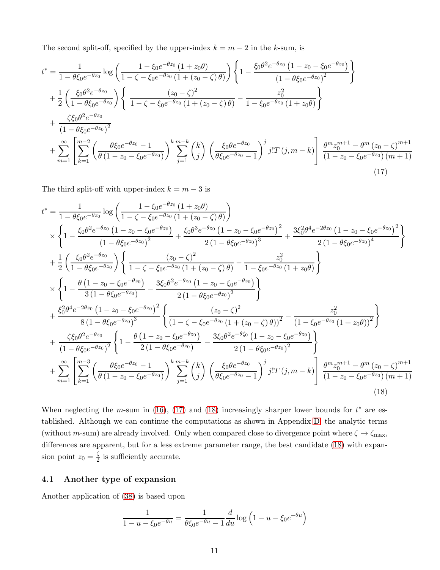The second split-off, specified by the upper-index  $k = m - 2$  in the k-sum, is

$$
t^* = \frac{1}{1 - \theta \xi_0 e^{-\theta z_0}} \log \left( \frac{1 - \xi_0 e^{-\theta z_0} \left( 1 + z_0 \theta \right)}{1 - \zeta - \xi_0 e^{-\theta z_0} \left( 1 + (z_0 - \zeta) \theta \right)} \right) \left\{ 1 - \frac{\xi_0 \theta^2 e^{-\theta z_0} \left( 1 - z_0 - \xi_0 e^{-\theta z_0} \right)}{\left( 1 - \theta \xi_0 e^{-\theta z_0} \right)^2} \right\}
$$
  
+ 
$$
\frac{1}{2} \left( \frac{\xi_0 \theta^2 e^{-\theta z_0}}{1 - \theta \xi_0 e^{-\theta z_0}} \right) \left\{ \frac{(z_0 - \zeta)^2}{1 - \zeta - \xi_0 e^{-\theta z_0} \left( 1 + (z_0 - \zeta) \theta \right)} - \frac{z_0^2}{1 - \xi_0 e^{-\theta z_0} \left( 1 + z_0 \theta \right)} \right\}
$$
  
+ 
$$
\frac{\zeta \xi_0 \theta^2 e^{-\theta z_0}}{\left( 1 - \theta \xi_0 e^{-\theta z_0} \right)^2}
$$
  
+ 
$$
\sum_{m=1}^{\infty} \left[ \sum_{k=1}^{m-2} \left( \frac{\theta \xi_0 e^{-\theta z_0} - 1}{\theta \left( 1 - z_0 - \xi_0 e^{-\theta z_0} \right)} \right)^k \sum_{j=1}^{m-k} \binom{k}{j} \left( \frac{\xi_0 \theta e^{-\theta z_0}}{\theta \xi_0 e^{-\theta z_0} - 1} \right)^j j! T(j, m-k) \right] \frac{\theta^m z_0^{m+1} - \theta^m (z_0 - \zeta)^{m+1}}{\left( 1 - z_0 - \xi_0 e^{-\theta z_0} \right) (m+1)}
$$
  
+ 
$$
\sum_{m=1}^{\infty} \left[ \sum_{k=1}^{m-2} \left( \frac{\theta \xi_0 e^{-\theta z_0} - 1}{\theta \left( 1 - z_0 - \xi_0 e^{-\theta z_0} \right)} \right)^k \sum_{j=1}^{m-k} \binom{k}{j} \left( \frac{\xi_0 \theta e^{-\theta z_0} - 1}{\theta \xi_0 e^{-\theta z_0}
$$

<span id="page-10-0"></span>The third split-off with upper-index  $k = m - 3$  is

$$
t^* = \frac{1}{1 - \theta \xi_0 e^{-\theta z_0}} \log \left( \frac{1 - \xi_0 e^{-\theta z_0} (1 + z_0 \theta)}{1 - \zeta - \xi_0 e^{-\theta z_0} (1 + (z_0 - \zeta) \theta)} \right)
$$
  
\n
$$
\times \left\{ 1 - \frac{\xi_0 \theta^2 e^{-\theta z_0} (1 - z_0 - \xi_0 e^{-\theta z_0})}{(1 - \theta \xi_0 e^{-\theta z_0})^2} + \frac{\xi_0 \theta^3 e^{-\theta z_0} (1 - z_0 - \xi_0 e^{-\theta z_0})^2}{2 (1 - \theta \xi_0 e^{-\theta z_0})^3} + \frac{3\xi_0^2 \theta^4 e^{-2\theta z_0} (1 - z_0 - \xi_0 e^{-\theta z_0})^2}{2 (1 - \theta \xi_0 e^{-\theta z_0})^4} \right\}
$$
  
\n
$$
+ \frac{1}{2} \left( \frac{\xi_0 \theta^2 e^{-\theta z_0}}{1 - \theta \xi_0 e^{-\theta z_0}} \right) \left\{ \frac{(z_0 - \zeta)^2}{1 - \zeta - \xi_0 e^{-\theta z_0} (1 + (z_0 - \zeta) \theta)} - \frac{z_0^2}{1 - \xi_0 e^{-\theta z_0} (1 + z_0 \theta)} \right\}
$$
  
\n
$$
\times \left\{ 1 - \frac{\theta (1 - z_0 - \xi_0 e^{-\theta z_0})}{3 (1 - \theta \xi_0 e^{-\theta z_0})} - \frac{3\xi_0 \theta^2 e^{-\theta z_0} (1 - z_0 - \xi_0 e^{-\theta z_0})}{2 (1 - \theta \xi_0 e^{-\theta z_0})^2} \right\}
$$
  
\n
$$
+ \frac{\xi_0^2 \theta^4 e^{-2\theta z_0} (1 - z_0 - \xi_0 e^{-\theta z_0})^2}{8 (1 - \theta \xi_0 e^{-\theta z_0})^3} \left\{ \frac{(z_0 - \zeta)^2}{(1 - \zeta - \xi_0 e^{-\theta z_0} (1 + (z_0 - \zeta) \theta))^2} - \frac{z_0^2}{(1 - \xi_0 e^{-\theta z_0} (1 + z_0 \theta))^2} \right\}
$$
  
\n
$$
+
$$

When neglecting the m-sum in [\(16\)](#page-9-3), [\(17\)](#page-10-0) and [\(18\)](#page-10-1) increasingly sharper lower bounds for  $t^*$  are established. Although we can continue the computations as shown in Appendix [D,](#page-22-0) the analytic terms (without m-sum) are already involved. Only when compared close to divergence point where  $\zeta \to \zeta_{\text{max}}$ , differences are apparent, but for a less extreme parameter range, the best candidate [\(18\)](#page-10-1) with expansion point  $z_0 = \frac{\zeta}{2}$  $\frac{5}{2}$  is sufficiently accurate.

### 4.1 Another type of expansion

Another application of [\(38\)](#page-21-0) is based upon

<span id="page-10-1"></span>
$$
\frac{1}{1 - u - \xi_0 e^{-\theta u}} = \frac{1}{\theta \xi_0 e^{-\theta u} - 1} \frac{d}{du} \log \left( 1 - u - \xi_0 e^{-\theta u} \right)
$$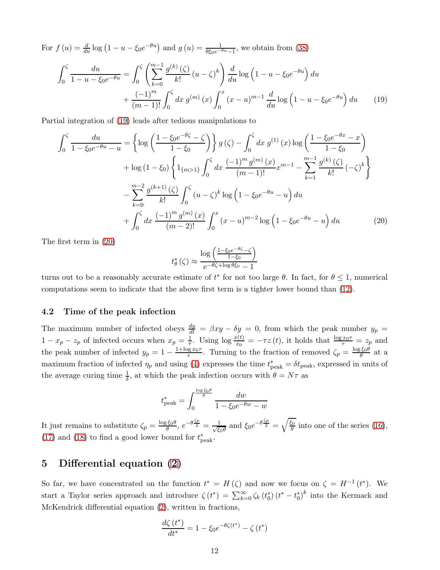For  $f(u) = \frac{d}{du} \log (1 - u - \xi_0 e^{-\theta u})$  and  $g(u) = \frac{1}{\theta \xi_0 e^{-\theta u} - 1}$ , we obtain from [\(38\)](#page-21-0)

$$
\int_0^{\zeta} \frac{du}{1 - u - \xi_0 e^{-\theta u}} = \int_0^{\zeta} \left( \sum_{k=0}^{m-1} \frac{g^{(k)}(\zeta)}{k!} (u - \zeta)^k \right) \frac{d}{du} \log \left( 1 - u - \xi_0 e^{-\theta u} \right) du
$$
  
+ 
$$
\frac{(-1)^m}{(m-1)!} \int_0^{\zeta} dx \, g^{(m)}(x) \int_0^x (x - u)^{m-1} \frac{d}{du} \log \left( 1 - u - \xi_0 e^{-\theta u} \right) du \tag{19}
$$

Partial integration of [\(19\)](#page-11-1) leads after tedious manipulations to

$$
\int_{0}^{\zeta} \frac{du}{1 - \xi_{0}e^{-\theta u} - u} = \left\{ \log \left( \frac{1 - \xi_{0}e^{-\theta \zeta} - \zeta}{1 - \xi_{0}} \right) \right\} g(\zeta) - \int_{0}^{\zeta} dx g^{(1)}(x) \log \left( \frac{1 - \xi_{0}e^{-\theta x} - x}{1 - \xi_{0}} \right) \n+ \log (1 - \xi_{0}) \left\{ 1_{\{m > 1\}} \int_{0}^{\zeta} dx \frac{(-1)^{m} g^{(m)}(x)}{(m - 1)!} x^{m - 1} - \sum_{k = 1}^{m - 1} \frac{g^{(k)}(\zeta)}{k!} (-\zeta)^{k} \right\} \n- \sum_{k = 0}^{m - 2} \frac{g^{(k + 1)}(\zeta)}{k!} \int_{0}^{\zeta} (u - \zeta)^{k} \log \left( 1 - \xi_{0}e^{-\theta u} - u \right) du \n+ \int_{0}^{\zeta} dx \frac{(-1)^{m} g^{(m)}(x)}{(m - 2)!} \int_{0}^{x} (x - u)^{m - 2} \log \left( 1 - \xi_{0}e^{-\theta u} - u \right) du
$$
\n(20)

The first term in [\(20\)](#page-11-2)

<span id="page-11-2"></span><span id="page-11-1"></span>
$$
t_{\theta}^{*}(\zeta) \approx \frac{\log\left(\frac{1-\xi_{0}e^{-\theta\zeta}-\zeta}{1-\xi_{0}}\right)}{e^{-\theta\zeta+\log\theta\xi_{0}}-1}
$$

turns out to be a reasonably accurate estimate of  $t^*$  for not too large  $\theta$ . In fact, for  $\theta \leq 1$ , numerical computations seem to indicate that the above first term is a tighter lower bound than [\(12\)](#page-7-1).

#### 4.2 Time of the peak infection

The maximum number of infected obeys  $\frac{dy}{dt} = \beta xy - \delta y = 0$ , from which the peak number  $y_p =$  $1-x_p-z_p$  of infected occurs when  $x_p=\frac{1}{\tau}$ . Using  $\log \frac{x(t)}{x_0}=-\tau z(t)$ , it holds that  $\frac{\log x_0\tau}{\tau}=z_p$  and the peak number of infected  $y_p = 1 - \frac{1 + \log x_0 \tau}{\tau}$ . Turning to the fraction of removed  $\zeta_p = \frac{\log \xi_0 \theta}{\theta}$  at a maximum fraction of infected  $\eta_p$  and using [\(4\)](#page-1-2) expresses the time  $t_{\text{peak}}^* = \delta t_{\text{peak}}$ , expressed in units of the average curing time  $\frac{1}{\delta}$ , at which the peak infection occurs with  $\theta = N\tau$  as

$$
t_{\text{peak}}^* = \int_0^{\frac{\log \xi_0 \theta}{\theta}} \frac{dw}{1 - \xi_0 e^{-\theta w} - w}
$$

It just remains to substitute  $\zeta_p = \frac{\log \xi_0 \theta}{\theta}$ ,  $e^{-\theta \frac{\zeta_p}{2}} = \frac{1}{\sqrt{\xi}}$  $\frac{1}{\xi_0 \theta}$  and  $\xi_0 e^{-\theta \frac{\zeta_p}{2}} = \sqrt{\frac{\xi_0}{\theta}}$  into one of the series [\(16\)](#page-9-3), [\(17\)](#page-10-0) and [\(18\)](#page-10-1) to find a good lower bound for  $t^*_{\text{peak}}$ .

## <span id="page-11-0"></span>5 Differential equation [\(2\)](#page-1-0)

So far, we have concentrated on the function  $t^* = H(\zeta)$  and now we focus on  $\zeta = H^{-1}(t^*)$ . We start a Taylor series approach and introduce  $\zeta(t^*) = \sum_{k=0}^{\infty} \zeta_k(t_0^*) (t^* - t_0^*)^k$  into the Kermack and McKendrick differential equation [\(2\)](#page-1-0), written in fractions,

$$
\frac{d\zeta(t^*)}{dt^*} = 1 - \xi_0 e^{-\theta \zeta(t^*)} - \zeta(t^*)
$$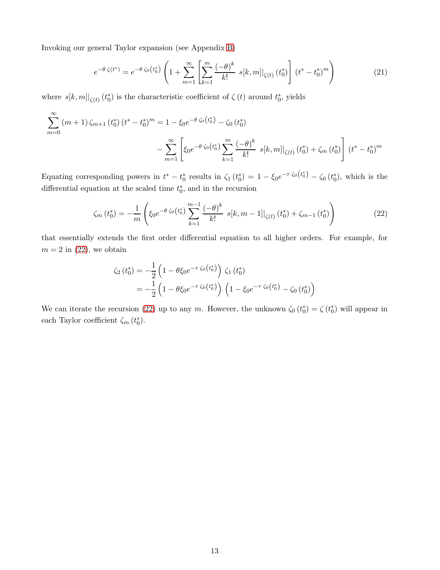Invoking our general Taylor expansion (see Appendix [B\)](#page-18-0)

$$
e^{-\theta \zeta(t^*)} = e^{-\theta \zeta_0(t_0^*)} \left( 1 + \sum_{m=1}^{\infty} \left[ \sum_{k=1}^m \frac{(-\theta)^k}{k!} \ s[k, m] \right] \zeta(t) \left( t_0^* \right) \right] \left( t^* - t_0^* \right)^m \tag{21}
$$

where  $s[k,m]|_{\zeta(t)}$  ( $t_0^*$ ) is the characteristic coefficient of  $\zeta(t)$  around  $t_0^*$ , yields

$$
\sum_{m=0}^{\infty} (m+1) \zeta_{m+1} (t_0^*) (t^* - t_0^*)^m = 1 - \xi_0 e^{-\theta \zeta_0 (t_0^*)} - \zeta_0 (t_0^*)
$$

$$
- \sum_{m=1}^{\infty} \left[ \xi_0 e^{-\theta \zeta_0 (t_0^*)} \sum_{k=1}^m \frac{(-\theta)^k}{k!} s[k, m] \Big|_{\zeta(t)} (t_0^*) + \zeta_m (t_0^*) \right] (t^* - t_0^*)^m
$$

Equating corresponding powers in  $t^* - t_0^*$  results in  $\zeta_1(t_0^*) = 1 - \xi_0 e^{-\tau \zeta_0(t_0^*)} - \zeta_0(t_0^*)$ , which is the differential equation at the scaled time  $t_0^*$ , and in the recursion

<span id="page-12-0"></span>
$$
\zeta_m(t_0^*) = -\frac{1}{m} \left( \xi_0 e^{-\theta \zeta_0(t_0^*)} \sum_{k=1}^{m-1} \frac{(-\theta)^k}{k!} \ s[k, m-1] \big|_{\zeta(t)} (t_0^*) + \zeta_{m-1} (t_0^*) \right) \tag{22}
$$

that essentially extends the first order differential equation to all higher orders. For example, for  $m = 2$  in  $(22)$ , we obtain

$$
\zeta_2(t_0^*) = -\frac{1}{2} \left( 1 - \theta \xi_0 e^{-\tau \zeta_0(t_0^*)} \right) \zeta_1(t_0^*)
$$
  
= 
$$
-\frac{1}{2} \left( 1 - \theta \xi_0 e^{-\tau \zeta_0(t_0^*)} \right) \left( 1 - \xi_0 e^{-\tau \zeta_0(t_0^*)} - \zeta_0(t_0^*) \right)
$$

We can iterate the recursion [\(22\)](#page-12-0) up to any m. However, the unknown  $\zeta_0(t_0^*) = \zeta(t_0^*)$  will appear in each Taylor coefficient  $\zeta_m(t_0^*)$ .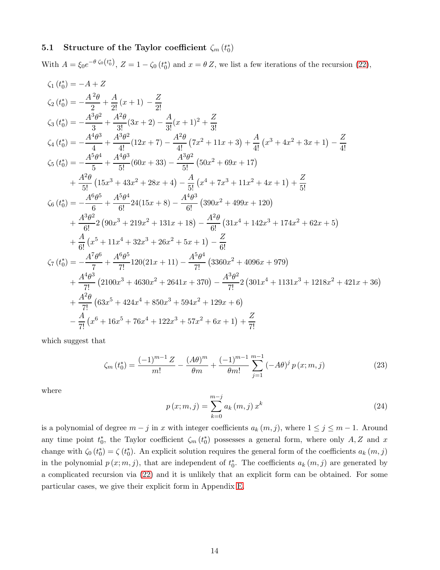# 5.1 Structure of the Taylor coefficient  $\zeta_m(t_0^*)$

With  $A = \xi_0 e^{-\theta \zeta_0(t_0^*)}$ ,  $Z = 1 - \zeta_0(t_0^*)$  and  $x = \theta Z$ , we list a few iterations of the recursion [\(22\)](#page-12-0),

$$
\zeta_{1}(t_{0}^{*}) = -A + Z
$$
\n
$$
\zeta_{2}(t_{0}^{*}) = -\frac{A^{2}\theta}{2} + \frac{A}{2!}(x+1) - \frac{Z}{2!}
$$
\n
$$
\zeta_{3}(t_{0}^{*}) = -\frac{A^{3}\theta^{2}}{3} + \frac{A^{2}\theta}{3!}(3x+2) - \frac{A}{3!}(x+1)^{2} + \frac{Z}{3!}
$$
\n
$$
\zeta_{4}(t_{0}^{*}) = -\frac{A^{4}\theta^{3}}{4} + \frac{A^{3}\theta^{2}}{4!}(12x+7) - \frac{A^{2}\theta}{4!}(7x^{2}+11x+3) + \frac{A}{4!}(x^{3}+4x^{2}+3x+1) - \frac{Z}{4!}
$$
\n
$$
\zeta_{5}(t_{0}^{*}) = -\frac{A^{5}\theta^{4}}{5} + \frac{A^{4}\theta^{3}}{5!}(60x+33) - \frac{A^{3}\theta^{2}}{5!}(50x^{2}+69x+17)
$$
\n
$$
+ \frac{A^{2}\theta}{5!}(15x^{3}+43x^{2}+28x+4) - \frac{A}{5!}(x^{4}+7x^{3}+11x^{2}+4x+1) + \frac{Z}{5!}
$$
\n
$$
\zeta_{6}(t_{0}^{*}) = -\frac{A^{6}\theta^{5}}{6} + \frac{A^{5}\theta^{4}}{6!}24(15x+8) - \frac{A^{4}\theta^{3}}{6!}(390x^{2}+499x+120)
$$
\n
$$
+ \frac{A^{3}\theta^{2}}{6!}2(90x^{3}+219x^{2}+131x+18) - \frac{A^{2}\theta}{6!}(31x^{4}+142x^{3}+174x^{2}+62x+5)
$$
\n
$$
+ \frac{A}{6!}(x^{5}+11x^{4}+32x^{3}+26x^{2}+5x+1) - \frac{Z}{6!}
$$
\n
$$
\zeta_{7}(t_{0}^{*}) = -\frac{A^{7}\theta^{6}}{7!} + \frac{A^{6}\theta^{5}}{7!}120(21x+11) - \frac{
$$

which suggest that

<span id="page-13-0"></span>
$$
\zeta_m(t_0^*) = \frac{(-1)^{m-1}Z}{m!} - \frac{(A\theta)^m}{\theta m} + \frac{(-1)^{m-1}Z}{m!} \sum_{j=1}^{m-1} (-A\theta)^j p(x; m, j) \tag{23}
$$

where

<span id="page-13-1"></span>
$$
p(x; m, j) = \sum_{k=0}^{m-j} a_k(m, j) x^k
$$
 (24)

is a polynomial of degree  $m - j$  in x with integer coefficients  $a_k(m, j)$ , where  $1 \leq j \leq m - 1$ . Around any time point  $t_0^*$ , the Taylor coefficient  $\zeta_m(t_0^*)$  possesses a general form, where only  $A, Z$  and x change with  $\zeta_0(t_0^*) = \zeta(t_0^*)$ . An explicit solution requires the general form of the coefficients  $a_k(m, j)$ in the polynomial  $p(x; m, j)$ , that are independent of  $t_0^*$ . The coefficients  $a_k(m, j)$  are generated by a complicated recursion via [\(22\)](#page-12-0) and it is unlikely that an explicit form can be obtained. For some particular cases, we give their explicit form in Appendix [E.](#page-28-0)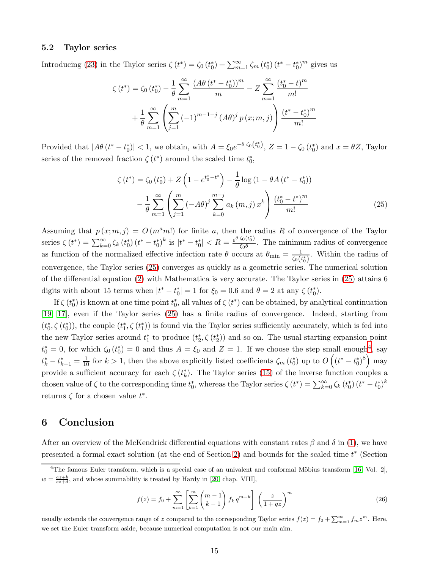#### 5.2 Taylor series

Introducing [\(23\)](#page-13-0) in the Taylor series  $\zeta(t^*) = \zeta_0(t_0^*) + \sum_{m=1}^{\infty} \zeta_m(t_0^*) (t^* - t_0^*)^m$  gives us

$$
\zeta(t^*) = \zeta_0(t_0^*) - \frac{1}{\theta} \sum_{m=1}^{\infty} \frac{\left(A\theta(t^* - t_0^*)\right)^m}{m} - Z \sum_{m=1}^{\infty} \frac{\left(t_0^* - t\right)^m}{m!}
$$

$$
+ \frac{1}{\theta} \sum_{m=1}^{\infty} \left(\sum_{j=1}^m (-1)^{m-1-j} \left(A\theta\right)^j p\left(x; m, j\right)\right) \frac{\left(t^* - t_0^*\right)^m}{m!}
$$

Provided that  $|A\theta(t^* - t_0^*)| < 1$ , we obtain, with  $A = \xi_0 e^{-\theta \zeta_0(t_0^*)}$ ,  $Z = 1 - \zeta_0(t_0^*)$  and  $x = \theta Z$ , Taylor series of the removed fraction  $\zeta(t^*)$  around the scaled time  $t_0^*$ ,

<span id="page-14-0"></span>
$$
\zeta(t^*) = \zeta_0(t_0^*) + Z\left(1 - e^{t_0^* - t^*}\right) - \frac{1}{\theta}\log\left(1 - \theta A\left(t^* - t_0^*\right)\right) - \frac{1}{\theta}\sum_{m=1}^{\infty}\left(\sum_{j=1}^m \left(-A\theta\right)^j \sum_{k=0}^{m-j} a_k(m,j) x^k\right) \frac{\left(t_0^* - t^*\right)^m}{m!}
$$
(25)

Assuming that  $p(x; m, j) = O(m<sup>a</sup>m!)$  for finite a, then the radius R of convergence of the Taylor series  $\zeta(t^*) = \sum_{k=0}^{\infty} \zeta_k(t_0^*) (t^* - t_0^*)^k$  is  $|t^* - t_0^*| < R = \frac{e^{\theta \zeta_0(t_0^*)}}{\zeta_0 \theta}$  $\frac{\xi_0(\xi_0)}{\xi_0 \theta}$ . The minimum radius of convergence as function of the normalized effective infection rate  $\theta$  occurs at  $\theta_{\min} = \frac{1}{\zeta_0(t_0^*)}$ . Within the radius of convergence, the Taylor series [\(25\)](#page-14-0) converges as quickly as a geometric series. The numerical solution of the differential equation [\(2\)](#page-1-0) with Mathematica is very accurate. The Taylor series in [\(25\)](#page-14-0) attains 6 digits with about 15 terms when  $|t^* - t_0^*| = 1$  for  $\xi_0 = 0.6$  and  $\theta = 2$  at any  $\zeta(t_0^*)$ .

If  $\zeta(t_0^*)$  is known at one time point  $t_0^*$ , all values of  $\zeta(t^*)$  can be obtained, by analytical continuation [\[19,](#page-15-18) [17\]](#page-15-16), even if the Taylor series [\(25\)](#page-14-0) has a finite radius of convergence. Indeed, starting from  $(t_0^*, \zeta(t_0^*))$ , the couple  $(t_1^*, \zeta(t_1^*))$  is found via the Taylor series sufficiently accurately, which is fed into the new Taylor series around  $t_1^*$  to produce  $(t_2^*, \zeta(t_2^*))$  and so on. The usual starting expansion point  $t_0^* = 0$ , for which  $\zeta_0(t_0^*) = 0$  and thus  $A = \zeta_0$  and  $Z = 1$ . If we choose the step small enough<sup>[4](#page-14-1)</sup>, say  $t_k^* - t_{k-1}^* = \frac{1}{10}$  for  $k > 1$ , then the above explicitly listed coefficients  $\zeta_m(t_0^*)$  up to  $O((t^* - t_0^*)^8)$  may provide a sufficient accuracy for each  $\zeta(t_k^*)$ . The Taylor series [\(15\)](#page-9-2) of the inverse function couples a chosen value of  $\zeta$  to the corresponding time  $t_0^*$ , whereas the Taylor series  $\zeta(t^*) = \sum_{k=0}^{\infty} \zeta_k (t_0^*) (t^* - t_0^*)^k$ returns  $\zeta$  for a chosen value  $t^*$ .

## 6 Conclusion

After an overview of the McKendrick differential equations with constant rates  $\beta$  and  $\delta$  in [\(1\)](#page-0-0), we have presented a formal exact solution (at the end of Section [2\)](#page-2-2) and bounds for the scaled time  $t^*$  (Section

$$
f(z) = f_0 + \sum_{m=1}^{\infty} \left[ \sum_{k=1}^{m} {m-1 \choose k-1} f_k q^{m-k} \right] \left( \frac{z}{1+qz} \right)^m
$$
 (26)

usually extends the convergence range of z compared to the corresponding Taylor series  $f(z) = f_0 + \sum_{m=1}^{\infty} f_m z^m$ . Here, we set the Euler transform aside, because numerical computation is not our main aim.

<span id="page-14-1"></span> $4$ The famous Euler transform, which is a special case of an univalent and conformal Möbius transform [\[16,](#page-15-15) Vol. 2],  $w = \frac{az+b}{cz+d}$ , and whose summability is treated by Hardy in [\[20,](#page-16-3) chap. VIII],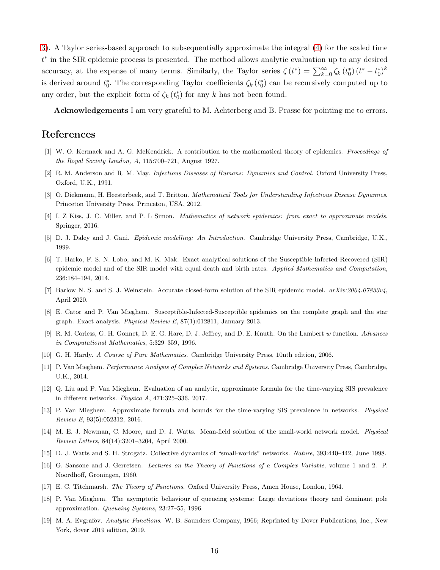[3\)](#page-7-2). A Taylor series-based approach to subsequentially approximate the integral [\(4\)](#page-1-2) for the scaled time t ∗ in the SIR epidemic process is presented. The method allows analytic evaluation up to any desired accuracy, at the expense of many terms. Similarly, the Taylor series  $\zeta(t^*) = \sum_{k=0}^{\infty} \zeta_k(t_0^*) (t^* - t_0^*)^k$ is derived around  $t_0^*$ . The corresponding Taylor coefficients  $\zeta_k(t_0^*)$  can be recursively computed up to any order, but the explicit form of  $\zeta_k(t_0^*)$  for any k has not been found.

Acknowledgements I am very grateful to M. Achterberg and B. Prasse for pointing me to errors.

### <span id="page-15-0"></span>References

- <span id="page-15-1"></span>[1] W. O. Kermack and A. G. McKendrick. A contribution to the mathematical theory of epidemics. Proceedings of the Royal Society London, A, 115:700–721, August 1927.
- <span id="page-15-2"></span>[2] R. M. Anderson and R. M. May. Infectious Diseases of Humans: Dynamics and Control. Oxford University Press, Oxford, U.K., 1991.
- <span id="page-15-3"></span>[3] O. Diekmann, H. Heesterbeek, and T. Britton. *Mathematical Tools for Understanding Infectious Disease Dynamics.* Princeton University Press, Princeton, USA, 2012.
- <span id="page-15-4"></span>[4] I. Z Kiss, J. C. Miller, and P. L Simon. Mathematics of network epidemics: from exact to approximate models. Springer, 2016.
- <span id="page-15-5"></span>[5] D. J. Daley and J. Gani. Epidemic modelling: An Introduction. Cambridge University Press, Cambridge, U.K., 1999.
- [6] T. Harko, F. S. N. Lobo, and M. K. Mak. Exact analytical solutions of the Susceptible-Infected-Recovered (SIR) epidemic model and of the SIR model with equal death and birth rates. Applied Mathematics and Computation, 236:184–194, 2014.
- <span id="page-15-7"></span><span id="page-15-6"></span>[7] Barlow N. S. and S. J. Weinstein. Accurate closed-form solution of the SIR epidemic model.  $arXiv:2004.07833v4$ . April 2020.
- <span id="page-15-8"></span>[8] E. Cator and P. Van Mieghem. Susceptible-Infected-Susceptible epidemics on the complete graph and the star graph: Exact analysis. Physical Review E, 87(1):012811, January 2013.
- <span id="page-15-9"></span>[9] R. M. Corless, G. H. Gonnet, D. E. G. Hare, D. J. Jeffrey, and D. E. Knuth. On the Lambert w function. Advances in Computational Mathematics, 5:329–359, 1996.
- <span id="page-15-10"></span>[10] G. H. Hardy. A Course of Pure Mathematics. Cambridge University Press, 10nth edition, 2006.
- <span id="page-15-11"></span>[11] P. Van Mieghem. Performance Analysis of Complex Networks and Systems. Cambridge University Press, Cambridge, U.K., 2014.
- <span id="page-15-12"></span>[12] Q. Liu and P. Van Mieghem. Evaluation of an analytic, approximate formula for the time-varying SIS prevalence in different networks. Physica A, 471:325–336, 2017.
- <span id="page-15-13"></span>[13] P. Van Mieghem. Approximate formula and bounds for the time-varying SIS prevalence in networks. Physical Review E, 93(5):052312, 2016.
- <span id="page-15-14"></span>[14] M. E. J. Newman, C. Moore, and D. J. Watts. Mean-field solution of the small-world network model. Physical Review Letters, 84(14):3201–3204, April 2000.
- <span id="page-15-15"></span>[15] D. J. Watts and S. H. Strogatz. Collective dynamics of "small-worlds" networks. Nature, 393:440–442, June 1998.
- <span id="page-15-16"></span>[16] G. Sansone and J. Gerretsen. Lectures on the Theory of Functions of a Complex Variable, volume 1 and 2. P. Noordhoff, Groningen, 1960.
- <span id="page-15-17"></span>[17] E. C. Titchmarsh. The Theory of Functions. Oxford University Press, Amen House, London, 1964.
- <span id="page-15-18"></span>[18] P. Van Mieghem. The asymptotic behaviour of queueing systems: Large deviations theory and dominant pole approximation. Queueing Systems, 23:27–55, 1996.
- [19] M. A. Evgrafov. Analytic Functions. W. B. Saunders Company, 1966; Reprinted by Dover Publications, Inc., New York, dover 2019 edition, 2019.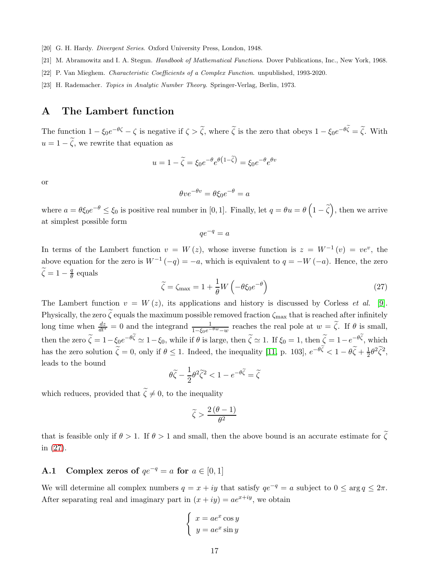- <span id="page-16-4"></span><span id="page-16-3"></span>[20] G. H. Hardy. *Divergent Series*. Oxford University Press, London, 1948.
- <span id="page-16-5"></span>[21] M. Abramowitz and I. A. Stegun. Handbook of Mathematical Functions. Dover Publications, Inc., New York, 1968.
- <span id="page-16-6"></span>[22] P. Van Mieghem. Characteristic Coefficients of a Complex Function. unpublished, 1993-2020.
- <span id="page-16-1"></span>[23] H. Rademacher. Topics in Analytic Number Theory. Springer-Verlag, Berlin, 1973.

### A The Lambert function

The function  $1 - \xi_0 e^{-\theta \zeta} - \zeta$  is negative if  $\zeta > \tilde{\zeta}$ , where  $\tilde{\zeta}$  is the zero that obeys  $1 - \xi_0 e^{-\theta \zeta} = \tilde{\zeta}$ . With  $u = 1 - \tilde{\zeta}$ , we rewrite that equation as

$$
u = 1 - \tilde{\zeta} = \xi_0 e^{-\theta} e^{\theta \left(1 - \tilde{\zeta}\right)} = \xi_0 e^{-\theta} e^{\theta v}
$$

or

$$
\theta v e^{-\theta v} = \theta \xi_0 e^{-\theta} = a
$$

where  $a = \theta \xi_0 e^{-\theta} \le \xi_0$  is positive real number in [0, 1]. Finally, let  $q = \theta u = \theta \left(1 - \tilde{\zeta}\right)$ , then we arrive at simplest possible form

$$
qe^{-q} = a
$$

In terms of the Lambert function  $v = W(z)$ , whose inverse function is  $z = W^{-1}(v) = v e^v$ , the above equation for the zero is  $W^{-1}(-q) = -a$ , which is equivalent to  $q = -W(-a)$ . Hence, the zero  $\widetilde{\zeta} = 1 - \frac{q}{\theta}$  $\frac{q}{\theta}$  equals

<span id="page-16-0"></span>
$$
\tilde{\zeta} = \zeta_{\text{max}} = 1 + \frac{1}{\theta} W \left( -\theta \xi_0 e^{-\theta} \right) \tag{27}
$$

The Lambert function  $v = W(z)$ , its applications and history is discussed by Corless *et al.* [\[9\]](#page-15-8). Physically, the zero  $\tilde{\zeta}$  equals the maximum possible removed fraction  $\zeta_{\text{max}}$  that is reached after infinitely long time when  $\frac{dz}{dt^*} = 0$  and the integrand  $\frac{1}{1-\xi_0e^{-\theta w}-w}$  reaches the real pole at  $w = \widetilde{\zeta}$ . If  $\theta$  is small, then the zero  $\zeta = 1 - \xi_0 e^{-\theta \zeta} \simeq 1 - \xi_0$ , while if  $\theta$  is large, then  $\zeta \simeq 1$ . If  $\xi_0 = 1$ , then  $\zeta = 1 - e^{-\theta \zeta}$ , which has the zero solution  $\tilde{\zeta} = 0$ , only if  $\theta \le 1$ . Indeed, the inequality [\[11,](#page-15-10) p. 103],  $e^{-\theta \zeta} < 1 - \theta \tilde{\zeta} + \frac{1}{2} \theta^2 \tilde{\zeta}^2$ , leads to the bound

$$
\theta \widetilde{\zeta} - \frac{1}{2} \theta^2 \widetilde{\zeta}^2 < 1 - e^{-\theta \widetilde{\zeta}} = \widetilde{\zeta}
$$

which reduces, provided that  $\widetilde{\zeta} \neq 0$ , to the inequality

$$
\widetilde{\zeta} > \frac{2\left(\theta - 1\right)}{\theta^2}
$$

that is feasible only if  $\theta > 1$ . If  $\theta > 1$  and small, then the above bound is an accurate estimate for  $\tilde{\zeta}$ in [\(27\)](#page-16-0).

### <span id="page-16-2"></span>A.1 Complex zeros of  $qe^{-q} = a$  for  $a \in [0, 1]$

We will determine all complex numbers  $q = x + iy$  that satisfy  $qe^{-q} = a$  subject to  $0 \le \arg q \le 2\pi$ . After separating real and imaginary part in  $(x + iy) = ae^{x+iy}$ , we obtain

$$
\begin{cases}\nx = ae^x \cos y \\
y = ae^x \sin y\n\end{cases}
$$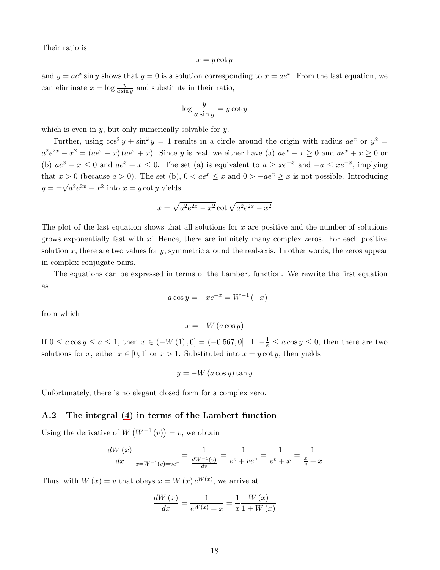Their ratio is

$$
x = y \cot y
$$

and  $y = ae^x \sin y$  shows that  $y = 0$  is a solution corresponding to  $x = ae^x$ . From the last equation, we can eliminate  $x = \log \frac{y}{a \sin y}$  and substitute in their ratio,

$$
\log \frac{y}{a \sin y} = y \cot y
$$

which is even in  $y$ , but only numerically solvable for  $y$ .

Further, using  $\cos^2 y + \sin^2 y = 1$  results in a circle around the origin with radius  $ae^x$  or  $y^2 =$  $a^2e^{2x} - x^2 = (ae^x - x)(ae^x + x)$ . Since y is real, we either have (a)  $ae^x - x \ge 0$  and  $ae^x + x \ge 0$  or (b)  $ae^x - x \le 0$  and  $ae^x + x \le 0$ . The set (a) is equivalent to  $a \ge xe^{-x}$  and  $-a \le xe^{-x}$ , implying that  $x > 0$  (because  $a > 0$ ). The set (b),  $0 < ae^x \le x$  and  $0 > -ae^x \ge x$  is not possible. Introducing  $y = \pm \sqrt{a^2 e^{2x} - x^2}$  into  $x = y \cot y$  yields

$$
x = \sqrt{a^2 e^{2x} - x^2} \cot \sqrt{a^2 e^{2x} - x^2}
$$

The plot of the last equation shows that all solutions for  $x$  are positive and the number of solutions grows exponentially fast with  $x$ ! Hence, there are infinitely many complex zeros. For each positive solution x, there are two values for y, symmetric around the real-axis. In other words, the zeros appear in complex conjugate pairs.

The equations can be expressed in terms of the Lambert function. We rewrite the first equation as

$$
-a\cos y = -xe^{-x} = W^{-1}(-x)
$$

from which

 $x = -W(a \cos y)$ 

If  $0 \le a \cos y \le a \le 1$ , then  $x \in (-W(1), 0] = (-0.567, 0]$ . If  $-\frac{1}{e} \le a \cos y \le 0$ , then there are two solutions for x, either  $x \in [0,1]$  or  $x > 1$ . Substituted into  $x = y \cot y$ , then yields

 $y = -W(a \cos y) \tan y$ 

Unfortunately, there is no elegant closed form for a complex zero.

### A.2 The integral [\(4\)](#page-1-2) in terms of the Lambert function

Using the derivative of  $W(W^{-1}(v)) = v$ , we obtain

$$
\frac{dW(x)}{dx}\bigg|_{x=W^{-1}(v)=ve^v} = \frac{1}{\frac{dW^{-1}(v)}{dv}} = \frac{1}{e^v + ve^v} = \frac{1}{e^v + x} = \frac{1}{\frac{x}{v} + x}
$$

Thus, with  $W(x) = v$  that obeys  $x = W(x) e^{W(x)}$ , we arrive at

$$
\frac{dW(x)}{dx} = \frac{1}{e^{W(x)} + x} = \frac{1}{x} \frac{W(x)}{1 + W(x)}
$$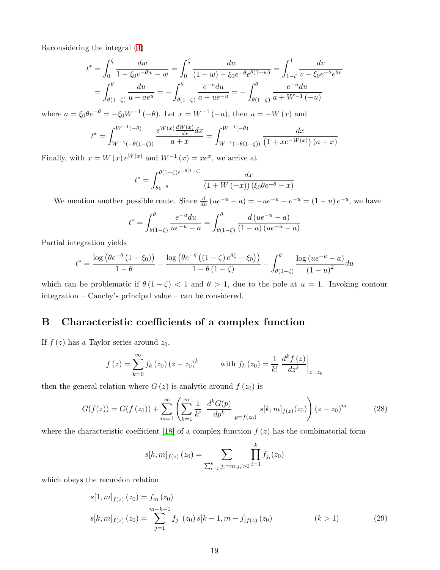Reconsidering the integral [\(4\)](#page-1-2)

$$
t^* = \int_0^{\zeta} \frac{dw}{1 - \xi_0 e^{-\theta w} - w} = \int_0^{\zeta} \frac{dw}{(1 - w) - \xi_0 e^{-\theta} e^{\theta (1 - w)}} = \int_{1 - \zeta}^1 \frac{dv}{v - \xi_0 e^{-\theta} e^{\theta v}}
$$

$$
= \int_{\theta(1 - \zeta)}^{\theta} \frac{du}{u - ae^u} = -\int_{\theta(1 - \zeta)}^{\theta} \frac{e^{-u} du}{a - ue^{-u}} = -\int_{\theta(1 - \zeta)}^{\theta} \frac{e^{-u} du}{a + W^{-1}(-u)}
$$

where  $a = \xi_0 \theta e^{-\theta} = -\xi_0 W^{-1}(-\theta)$ . Let  $x = W^{-1}(-u)$ , then  $u = -W(x)$  and

$$
t^* = \int_{W^{-1}(-\theta)(1-\zeta)}^{W^{-1}(-\theta)} \frac{e^{W(x)} \frac{dW(x)}{dx} dx}{a+x} = \int_{W^{-1}(-\theta)(1-\zeta)}^{W^{-1}(-\theta)} \frac{dx}{(1+xe^{-W(x)}) (a+x)}
$$

Finally, with  $x = W(x) e^{W(x)}$  and  $W^{-1}(x) = xe^x$ , we arrive at

$$
t^* = \int_{\theta e^{-\theta}}^{\theta(1-\zeta)e^{-\theta(1-\zeta)}} \frac{dx}{(1+W(-x))(\xi_0\theta e^{-\theta}-x)}
$$

We mention another possible route. Since  $\frac{d}{du}(ue^{-u}-a) = -ue^{-u} + e^{-u} = (1-u)e^{-u}$ , we have

$$
t^* = \int_{\theta(1-\zeta)}^{\theta} \frac{e^{-u} du}{u e^{-u} - a} = \int_{\theta(1-\zeta)}^{\theta} \frac{d (u e^{-u} - a)}{(1 - u) (u e^{-u} - a)}
$$

Partial integration yields

$$
t^* = \frac{\log\left(\theta e^{-\theta} \left(1 - \xi_0\right)\right)}{1 - \theta} - \frac{\log\left(\theta e^{-\theta} \left(\left(1 - \zeta\right)e^{\theta \zeta} - \xi_0\right)\right)}{1 - \theta \left(1 - \zeta\right)} - \int_{\theta\left(1 - \zeta\right)}^{\theta} \frac{\log\left(ue^{-u} - a\right)}{\left(1 - u\right)^2} du
$$

which can be problematic if  $\theta(1-\zeta) < 1$  and  $\theta > 1$ , due to the pole at  $u = 1$ . Invoking contour integration – Cauchy's principal value – can be considered.

# <span id="page-18-0"></span>B Characteristic coefficients of a complex function

If  $f(z)$  has a Taylor series around  $z_0$ ,

$$
f(z) = \sum_{k=0}^{\infty} f_k(z_0) (z - z_0)^k
$$
 with  $f_k(z_0) = \frac{1}{k!} \frac{d^k f(z)}{dz^k} \Big|_{z=z_0}$ 

then the general relation where  $G(z)$  is analytic around  $f(z_0)$  is

<span id="page-18-1"></span>
$$
G(f(z)) = G(f(z_0)) + \sum_{m=1}^{\infty} \left( \sum_{k=1}^{m} \frac{1}{k!} \left. \frac{d^k G(p)}{dp^k} \right|_{p=f(z_0)} s[k, m]_{f(z)}(z_0) \right) (z - z_0)^m \tag{28}
$$

where the characteristic coefficient [\[18\]](#page-15-17) of a complex function  $f(z)$  has the combinatorial form

$$
s[k,m]_{f(z)}(z_0) = \sum_{\sum_{i=1}^k j_i = m; j_i > 0} \prod_{i=1}^k f_{j_i}(z_0)
$$

which obeys the recursion relation

$$
s[1, m]_{f(z)} (z_0) = f_m (z_0)
$$
  
\n
$$
s[k, m]_{f(z)} (z_0) = \sum_{j=1}^{m-k+1} f_j (z_0) s[k-1, m-j]_{f(z)} (z_0)
$$
 (k > 1) (29)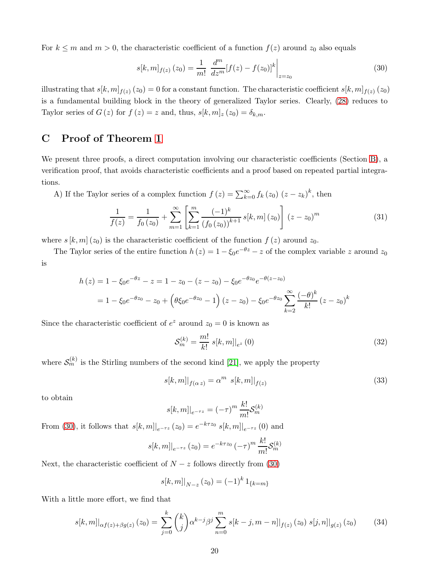For  $k \leq m$  and  $m > 0$ , the characteristic coefficient of a function  $f(z)$  around  $z_0$  also equals

<span id="page-19-1"></span>
$$
s[k,m]_{f(z)}(z_0) = \frac{1}{m!} \left. \frac{d^m}{dz^m} [f(z) - f(z_0)]^k \right|_{z=z_0}
$$
 (30)

illustrating that  $s[k,m]_{f(z)}(z_0) = 0$  for a constant function. The characteristic coefficient  $s[k,m]_{f(z)}(z_0)$ is a fundamental building block in the theory of generalized Taylor series. Clearly, [\(28\)](#page-18-1) reduces to Taylor series of  $G(z)$  for  $f(z) = z$  and, thus,  $s[k, m]_z(z_0) = \delta_{k,m}$ .

## <span id="page-19-0"></span>C Proof of Theorem [1](#page-9-1)

We present three proofs, a direct computation involving our characteristic coefficients (Section [B\)](#page-18-0), a verification proof, that avoids characteristic coefficients and a proof based on repeated partial integrations.

A) If the Taylor series of a complex function  $f(z) = \sum_{k=0}^{\infty} f_k(z_0) (z - z_k)^k$ , then

<span id="page-19-3"></span>
$$
\frac{1}{f(z)} = \frac{1}{f_0(z_0)} + \sum_{m=1}^{\infty} \left[ \sum_{k=1}^{m} \frac{(-1)^k}{(f_0(z_0))^{k+1}} s[k, m] (z_0) \right] (z - z_0)^m
$$
(31)

where  $s [k, m] (z_0)$  is the characteristic coefficient of the function  $f (z)$  around  $z_0$ .

The Taylor series of the entire function  $h(z) = 1 - \xi_0 e^{-\theta z} - z$  of the complex variable z around  $z_0$ is

$$
h(z) = 1 - \xi_0 e^{-\theta z} - z = 1 - z_0 - (z - z_0) - \xi_0 e^{-\theta z_0} e^{-\theta (z - z_0)}
$$
  
= 1 - \xi\_0 e^{-\theta z\_0} - z\_0 + (\theta \xi\_0 e^{-\theta z\_0} - 1) (z - z\_0) - \xi\_0 e^{-\theta z\_0} \sum\_{k=2}^{\infty} \frac{(-\theta)^k}{k!} (z - z\_0)^k

Since the characteristic coefficient of  $e^z$  around  $z_0 = 0$  is known as

$$
S_m^{(k)} = \frac{m!}{k!} \left. s[k, m]|_{e^z} (0) \right. \tag{32}
$$

where  $\mathcal{S}_m^{(k)}$  is the Stirling numbers of the second kind [\[21\]](#page-16-4), we apply the property

$$
s[k,m]|_{f(\alpha z)} = \alpha^m \ s[k,m]|_{f(z)}
$$
\n(33)

to obtain

$$
s[k,m]|_{e^{-\tau z}} = (-\tau)^m \frac{k!}{m!} S_m^{(k)}
$$

From [\(30\)](#page-19-1), it follows that  $s[k,m]|_{e^{-\tau z}}(z_0) = e^{-k\tau z_0} s[k,m]|_{e^{-\tau z}}(0)$  and

$$
s[k,m]|_{e^{-\tau z}}(z_0) = e^{-k\tau z_0} (-\tau)^m \frac{k!}{m!} S_m^{(k)}
$$

Next, the characteristic coefficient of  $N - z$  follows directly from [\(30\)](#page-19-1)

$$
s[k, m]|_{N-z}(z_0) = (-1)^k 1_{\{k=m\}}
$$

With a little more effort, we find that

<span id="page-19-2"></span>
$$
s[k,m]|_{\alpha f(z)+\beta g(z)}(z_0) = \sum_{j=0}^{k} {k \choose j} \alpha^{k-j} \beta^j \sum_{n=0}^{m} s[k-j,m-n]|_{f(z)}(z_0) s[j,n]|_{g(z)}(z_0)
$$
(34)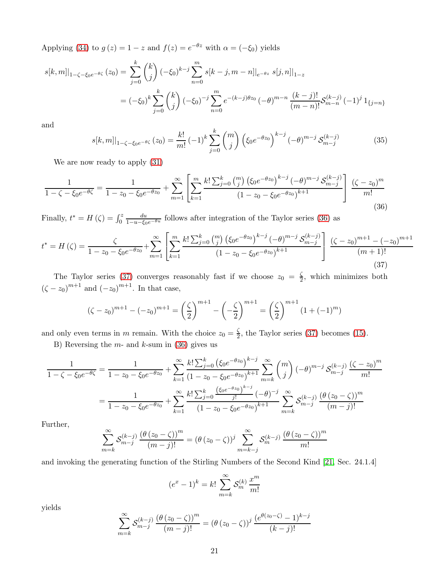Applying [\(34\)](#page-19-2) to  $g(z) = 1 - z$  and  $f(z) = e^{-\theta z}$  with  $\alpha = (-\xi_0)$  yields

$$
s[k,m]|_{1-\zeta-\xi_0 e^{-\theta \zeta}}(z_0) = \sum_{j=0}^k {k \choose j} (-\xi_0)^{k-j} \sum_{n=0}^m s[k-j,m-n]|_{e^{-\theta z}} s[j,n]|_{1-z}
$$
  

$$
= (-\xi_0)^k \sum_{j=0}^k {k \choose j} (-\xi_0)^{-j} \sum_{n=0}^m e^{-(k-j)\theta z_0} (-\theta)^{m-n} \frac{(k-j)!}{(m-n)!} S_{m-n}^{(k-j)} (-1)^j 1_{\{j=n\}}
$$

and

<span id="page-20-2"></span>
$$
s[k,m]|_{1-\zeta-\xi_0 e^{-\theta \zeta}}(z_0) = \frac{k!}{m!} (-1)^k \sum_{j=0}^k \binom{m}{j} \left(\xi_0 e^{-\theta z_0}\right)^{k-j} (-\theta)^{m-j} S_{m-j}^{(k-j)} \tag{35}
$$

We are now ready to apply [\(31\)](#page-19-3)

<span id="page-20-1"></span>
$$
\frac{1}{1-\zeta-\xi_0 e^{-\theta \zeta}} = \frac{1}{1-z_0-\xi_0 e^{-\theta z_0}} + \sum_{m=1}^{\infty} \left[ \sum_{k=1}^{m} \frac{k! \sum_{j=0}^{k} \binom{m}{j} \left( \xi_0 e^{-\theta z_0} \right)^{k-j} (-\theta)^{m-j} \mathcal{S}_{m-j}^{(k-j)}}{\left( 1-z_0 - \xi_0 e^{-\theta z_0} \right)^{k+1}} \right] \frac{\left( \zeta - z_0 \right)^m}{m!}
$$
(36)

Finally,  $t^* = H(\zeta) = \int_0^z$  $\frac{du}{1-u-\xi_0e^{-\theta u}}$  follows after integration of the Taylor series [\(36\)](#page-20-1) as

<span id="page-20-0"></span>
$$
t^* = H(\zeta) = \frac{\zeta}{1 - z_0 - \xi_0 e^{-\theta z_0}} + \sum_{m=1}^{\infty} \left[ \sum_{k=1}^m \frac{k! \sum_{j=0}^k \binom{m}{j} \left( \xi_0 e^{-\theta z_0} \right)^{k-j} (-\theta)^{m-j} S_{m-j}^{(k-j)}}{\left( 1 - z_0 - \xi_0 e^{-\theta z_0} \right)^{k+1}} \right] \frac{\left( \zeta - z_0 \right)^{m+1} - \left( -z_0 \right)^{m+1}}{\left( m+1 \right)!} \tag{37}
$$

The Taylor series [\(37\)](#page-20-0) converges reasonably fast if we choose  $z_0 = \frac{\zeta}{2}$  $\frac{5}{2}$ , which minimizes both  $(\zeta - z_0)^{m+1}$  and  $(-z_0)^{m+1}$ . In that case,

$$
(\zeta - z_0)^{m+1} - (-z_0)^{m+1} = \left(\frac{\zeta}{2}\right)^{m+1} - \left(-\frac{\zeta}{2}\right)^{m+1} = \left(\frac{\zeta}{2}\right)^{m+1} (1 + (-1)^m)
$$

and only even terms in m remain. With the choice  $z_0 = \frac{\zeta}{2}$  $\frac{5}{2}$ , the Taylor series [\(37\)](#page-20-0) becomes [\(15\)](#page-9-2).

B) Reversing the  $m$ - and  $k$ -sum in [\(36\)](#page-20-1) gives us

$$
\frac{1}{1-\zeta-\xi_0 e^{-\theta \zeta}} = \frac{1}{1-z_0-\xi_0 e^{-\theta z_0}} + \sum_{k=1}^{\infty} \frac{k! \sum_{j=0}^k \left(\xi_0 e^{-\theta z_0}\right)^{k-j}}{(1-z_0-\xi_0 e^{-\theta z_0})^{k+1}} \sum_{m=k}^{\infty} {m \choose j} \left(-\theta\right)^{m-j} \mathcal{S}_{m-j}^{(k-j)} \frac{\left(\zeta-z_0\right)^m}{m!}
$$

$$
= \frac{1}{1-z_0-\xi_0 e^{-\theta z_0}} + \sum_{k=1}^{\infty} \frac{k! \sum_{j=0}^k \frac{\left(\xi_0 e^{-\theta z_0}\right)^{k-j}}{j!} \left(-\theta\right)^{-j}}{\left(1-z_0-\xi_0 e^{-\theta z_0}\right)^{k+1}} \sum_{m=k}^{\infty} \mathcal{S}_{m-j}^{(k-j)} \frac{\left(\theta\left(z_0-\zeta\right)\right)^m}{\left(m-j\right)!}
$$

Further,

$$
\sum_{m=k}^{\infty} S_{m-j}^{(k-j)} \frac{\left(\theta(z_0-\zeta)\right)^m}{(m-j)!} = \left(\theta(z_0-\zeta)\right)^j \sum_{m=k-j}^{\infty} S_m^{(k-j)} \frac{\left(\theta(z_0-\zeta)\right)^m}{m!}
$$

and invoking the generating function of the Stirling Numbers of the Second Kind [\[21,](#page-16-4) Sec. 24.1.4]

$$
(e^x - 1)^k = k! \sum_{m=k}^{\infty} \mathcal{S}_m^{(k)} \frac{x^m}{m!}
$$

yields

$$
\sum_{m=k}^{\infty} S_{m-j}^{(k-j)} \frac{(\theta(z_0 - \zeta))^m}{(m-j)!} = (\theta(z_0 - \zeta))^j \frac{(e^{\theta(z_0 - \zeta)} - 1)^{k-j}}{(k-j)!}
$$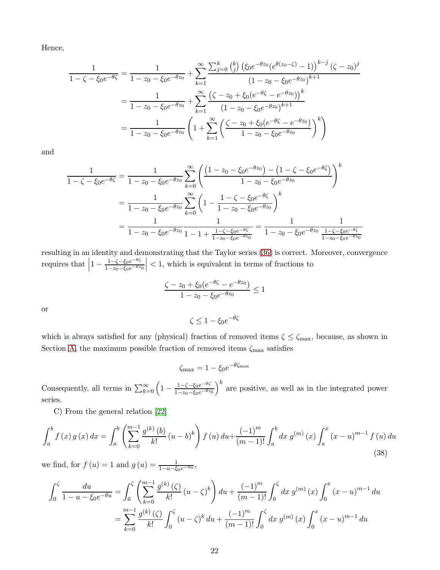Hence,

$$
\frac{1}{1-\zeta-\xi_0 e^{-\theta \zeta}} = \frac{1}{1-z_0-\xi_0 e^{-\theta z_0}} + \sum_{k=1}^{\infty} \frac{\sum_{j=0}^k {k \choose j} \left( \xi_0 e^{-\theta z_0} (e^{\theta (z_0-\zeta)}-1) \right)^{k-j} (\zeta - z_0)^j}{\left(1-z_0-\xi_0 e^{-\theta z_0}\right)^{k+1}}
$$
\n
$$
= \frac{1}{1-z_0-\xi_0 e^{-\theta z_0}} + \sum_{k=1}^{\infty} \frac{\left(\zeta - z_0 + \xi_0 (e^{-\theta \zeta} - e^{-\theta z_0})\right)^k}{\left(1-z_0-\xi_0 e^{-\theta z_0}\right)^{k+1}}
$$
\n
$$
= \frac{1}{1-z_0-\xi_0 e^{-\theta z_0}} \left(1 + \sum_{k=1}^{\infty} \left(\frac{\zeta - z_0 + \xi_0 (e^{-\theta \zeta} - e^{-\theta z_0})}{1-z_0-\xi_0 e^{-\theta z_0}}\right)^k\right)
$$

and

$$
\frac{1}{1-\zeta-\xi_0e^{-\theta\zeta}} = \frac{1}{1-z_0-\xi_0e^{-\theta z_0}}\sum_{k=0}^{\infty} \left(\frac{(1-z_0-\xi_0e^{-\theta z_0})-(1-\zeta-\xi_0e^{-\theta\zeta})}{1-z_0-\xi_0e^{-\theta z_0}}\right)^k
$$

$$
= \frac{1}{1-z_0-\xi_0e^{-\theta z_0}}\sum_{k=0}^{\infty} \left(1-\frac{1-\zeta-\xi_0e^{-\theta\zeta}}{1-z_0-\xi_0e^{-\theta z_0}}\right)^k
$$

$$
= \frac{1}{1-z_0-\xi_0e^{-\theta z_0}}\frac{1}{1-1+\frac{1-\zeta-\xi_0e^{-\theta\zeta}}{1-z_0-\xi_0e^{-\theta z_0}}} = \frac{1}{1-z_0-\xi_0e^{-\theta z_0}}\frac{1}{\frac{1-\zeta-\xi_0e^{-\theta\zeta}}{1-z_0-\xi_0e^{-\theta z_0}}}
$$

resulting in an identity and demonstrating that the Taylor series [\(36\)](#page-20-1) is correct. Moreover, convergence requires that  $\left|1 - \frac{1 - \zeta - \xi_0 e^{-\theta \zeta}}{1 - z_0 - \xi_0 e^{-\theta z}}\right|$  $1-z_0-\xi_0e^{-\theta z_0}$  $\vert$  < 1, which is equivalent in terms of fractions to

$$
\frac{\zeta - z_0 + \xi_0 (e^{-\theta \zeta} - e^{-\theta z_0})}{1 - z_0 - \xi_0 e^{-\theta z_0}} \le 1
$$

or

$$
\zeta \le 1 - \xi_0 e^{-\theta \zeta}
$$

which is always satisfied for any (physical) fraction of removed items  $\zeta \le \zeta_{\text{max}}$ , because, as shown in Section [A,](#page-16-1) the maximum possible fraction of removed items  $\zeta_{\text{max}}$  satisfies

$$
\zeta_{\text{max}} = 1 - \xi_0 e^{-\theta \zeta_{\text{max}}}
$$

Consequently, all terms in  $\sum_{k=0}^{\infty} \left(1 - \frac{1 - \zeta - \xi_0 e^{-\theta \zeta}}{1 - z_0 - \xi_0 e^{-\theta z}}\right)$  $1-z_0-\xi_0e^{-\theta z_0}$  $k$  are positive, as well as in the integrated power series.

C) From the general relation [\[22\]](#page-16-5)

<span id="page-21-0"></span>
$$
\int_{a}^{b} f(x) g(x) dx = \int_{a}^{b} \left( \sum_{k=0}^{m-1} \frac{g^{(k)}(b)}{k!} (u-b)^{k} \right) f(u) du + \frac{(-1)^{m}}{(m-1)!} \int_{a}^{b} dx g^{(m)}(x) \int_{a}^{x} (x-u)^{m-1} f(u) du
$$
\n(38)

we find, for  $f(u) = 1$  and  $g(u) = \frac{1}{1 - u - \xi_0 e^{-\theta u}}$ ,

$$
\int_0^{\zeta} \frac{du}{1 - u - \zeta_0 e^{-\theta u}} = \int_0^{\zeta} \left( \sum_{k=0}^{m-1} \frac{g^{(k)}(\zeta)}{k!} (u - \zeta)^k \right) du + \frac{(-1)^m}{(m-1)!} \int_0^{\zeta} dx \, g^{(m)}(x) \int_0^x (x - u)^{m-1} du
$$

$$
= \sum_{k=0}^{m-1} \frac{g^{(k)}(\zeta)}{k!} \int_0^{\zeta} (u - \zeta)^k du + \frac{(-1)^m}{(m-1)!} \int_0^{\zeta} dx \, g^{(m)}(x) \int_0^x (x - u)^{m-1} du
$$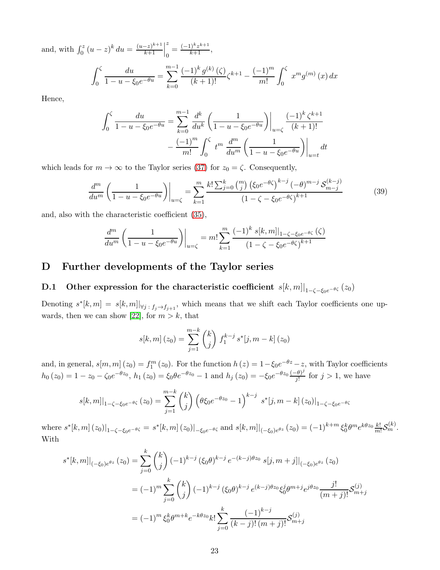and, with  $\int_0^z (u-z)^k du = \frac{(u-z)^{k+1}}{k+1}$  $k+1$  z  $\frac{z}{0} = \frac{(-1)^k z^{k+1}}{k+1},$ 

$$
\int_0^{\zeta} \frac{du}{1 - u - \xi_0 e^{-\theta u}} = \sum_{k=0}^{m-1} \frac{(-1)^k g^{(k)}(\zeta)}{(k+1)!} \zeta^{k+1} - \frac{(-1)^m}{m!} \int_0^{\zeta} x^m g^{(m)}(x) dx
$$

Hence,

$$
\int_0^{\zeta} \frac{du}{1 - u - \xi_0 e^{-\theta u}} = \sum_{k=0}^{m-1} \frac{d^k}{du^k} \left( \frac{1}{1 - u - \xi_0 e^{-\theta u}} \right) \Big|_{u = \zeta} \frac{(-1)^k \zeta^{k+1}}{(k+1)!}
$$

$$
- \frac{(-1)^m}{m!} \int_0^{\zeta} t^m \frac{d^m}{du^m} \left( \frac{1}{1 - u - \xi_0 e^{-\theta u}} \right) \Big|_{u = t} dt
$$

which leads for  $m \to \infty$  to the Taylor series [\(37\)](#page-20-0) for  $z_0 = \zeta$ . Consequently,

$$
\frac{d^m}{du^m} \left( \frac{1}{1 - u - \xi_0 e^{-\theta u}} \right) \Big|_{u = \zeta} = \sum_{k=1}^m \frac{k! \sum_{j=0}^k \binom{m}{j} \left( \xi_0 e^{-\theta \zeta} \right)^{k-j} (-\theta)^{m-j} \mathcal{S}_{m-j}^{(k-j)}}{\left( 1 - \zeta - \xi_0 e^{-\theta \zeta} \right)^{k+1}} \tag{39}
$$

and, also with the characteristic coefficient [\(35\)](#page-20-2),

$$
\frac{d^m}{du^m} \left( \frac{1}{1 - u - \xi_0 e^{-\theta u}} \right) \Big|_{u = \zeta} = m! \sum_{k=1}^m \frac{(-1)^k s[k, m]|_{1 - \zeta - \xi_0 e^{-\theta \zeta}}(\zeta)}{(1 - \zeta - \xi_0 e^{-\theta \zeta})^{k+1}}
$$

## <span id="page-22-0"></span>D Further developments of the Taylor series

# **D.1** Other expression for the characteristic coefficient  $s[k,m]|_{1-\zeta-\xi_0e^{-\theta\zeta}}(z_0)$

Denoting  $s^*[k,m] = s[k,m]|_{\forall j \in \{j\}\to f_{j+1}}$ , which means that we shift each Taylor coefficients one up-wards, then we can show [\[22\]](#page-16-5), for  $m > k$ , that

$$
s[k, m] (z_0) = \sum_{j=1}^{m-k} {k \choose j} f_1^{k-j} s^*[j, m-k] (z_0)
$$

and, in general,  $s[m,m](z_0) = f_1^m(z_0)$ . For the function  $h(z) = 1 - \xi_0 e^{-\theta z} - z$ , with Taylor coefficients  $h_0(z_0) = 1 - z_0 - \zeta_0 e^{-\theta z_0}, h_1(z_0) = \xi_0 \theta e^{-\theta z_0} - 1$  and  $h_j(z_0) = -\xi_0 e^{-\theta z_0} \frac{(-\theta)^j}{j!}$  $\frac{\partial^2 \theta}{\partial j}$  for  $j > 1$ , we have

$$
s[k,m]|_{1-\zeta-\xi_0e^{-\theta\zeta}}(z_0) = \sum_{j=1}^{m-k} {k \choose j} \left(\theta\xi_0e^{-\theta z_0} - 1\right)^{k-j} s^*[j,m-k](z_0)|_{1-\zeta-\xi_0e^{-\theta\zeta}}
$$

where  $s^*[k,m](z_0)|_{1-\zeta-\xi_0e^{-\theta\zeta}} = s^*[k,m](z_0)|_{-\xi_0e^{-\theta\zeta}}$  and  $s[k,m]|_{(-\xi_0)e^{\theta z}}(z_0) = (-1)^{k+m} \xi_0^k \theta^m e^{k\theta z_0} \frac{k!}{m!} S_m^{(k)}$ . With

$$
s^{*}[k,m]|_{(-\xi_{0})e^{\theta z}}(z_{0}) = \sum_{j=0}^{k} {k \choose j} (-1)^{k-j} (\xi_{0} \theta)^{k-j} e^{-(k-j)\theta z_{0}} s[j,m+j]|_{(-\xi_{0})e^{\theta z}}(z_{0})
$$
  

$$
= (-1)^{m} \sum_{j=0}^{k} {k \choose j} (-1)^{k-j} (\xi_{0} \theta)^{k-j} e^{(k-j)\theta z_{0}} \xi_{0}^{j} \theta^{m+j} e^{j\theta z_{0}} \frac{j!}{(m+j)!} \mathcal{S}_{m+j}^{(j)}
$$
  

$$
= (-1)^{m} \xi_{0}^{k} \theta^{m+k} e^{-k\theta z_{0}} k! \sum_{j=0}^{k} \frac{(-1)^{k-j}}{(k-j)! (m+j)!} \mathcal{S}_{m+j}^{(j)}
$$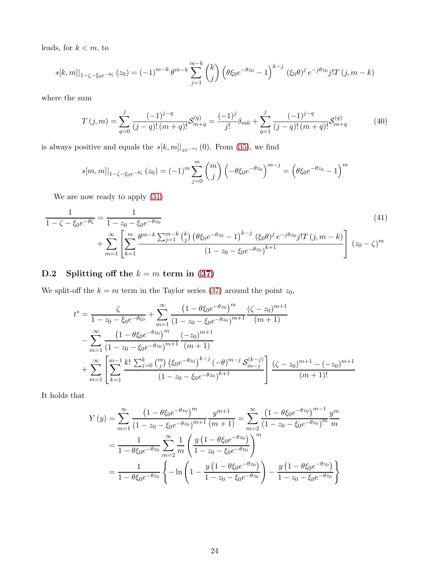leads, for  $k < m$ , to

$$
s[k,m]|_{1-\zeta-\xi_0 e^{-\theta \zeta}}(z_0) = (-1)^{m-k} \theta^{m-k} \sum_{j=1}^{m-k} {k \choose j} \left(\theta \xi_0 e^{-\theta z_0} - 1\right)^{k-j} (\xi_0 \theta)^j e^{-j\theta z_0} j! T(j,m-k)
$$

where the sum

$$
T(j,m) = \sum_{q=0}^{j} \frac{(-1)^{j-q}}{(j-q)!(m+q)!} S_{m+q}^{(q)} = \frac{(-1)^{j}}{j!} \delta_{m0} + \sum_{q=1}^{j} \frac{(-1)^{j-q}}{(j-q)!(m+q)!} S_{m+q}^{(q)}
$$
(40)

is always positive and equals the  $s[k,m]|_{ze^{-\tau z}}(0)$ . From [\(35\)](#page-20-2), we find

<span id="page-23-0"></span>
$$
s[m,m]|_{1-\zeta-\xi_0 e^{-\theta \zeta}}(z_0) = (-1)^m \sum_{j=0}^m \binom{m}{j} \left(-\theta \xi_0 e^{-\theta z_0}\right)^{m-j} = \left(\theta \xi_0 e^{-\theta z_0} - 1\right)^m
$$

We are now ready to apply [\(31\)](#page-19-3)

$$
\frac{1}{1-\zeta-\xi_0 e^{-\theta \zeta}} = \frac{1}{1-z_0-\xi_0 e^{-\theta z_0}}
$$
\n
$$
+\sum_{m=1}^{\infty} \left[ \sum_{k=1}^{m} \frac{\theta^{m-k} \sum_{j=1}^{m-k} {k \choose j} \left( \theta \xi_0 e^{-\theta z_0} - 1 \right)^{k-j} \left( \xi_0 \theta \right)^j e^{-j\theta z_0} j! T(j,m-k)}{(1-z_0-\xi_0 e^{-\theta z_0})^{k+1}} \right] (z_0-\zeta)^m
$$
\n(41)

# D.2 Splitting off the  $k = m$  term in [\(37\)](#page-20-0)

We split-off the  $k = m$  term in the Taylor series [\(37\)](#page-20-0) around the point  $z_0$ ,

$$
t^* = \frac{\zeta}{1 - z_0 - \xi_0 e^{-\theta \zeta_0}} + \sum_{m=1}^{\infty} \frac{\left(1 - \theta \xi_0 e^{-\theta z_0}\right)^m}{\left(1 - z_0 - \xi_0 e^{-\theta z_0}\right)^{m+1}} \frac{\left(\zeta - z_0\right)^{m+1}}{(m+1)} - \sum_{m=1}^{\infty} \frac{\left(1 - \theta \xi_0 e^{-\theta z_0}\right)^m}{\left(1 - z_0 - \xi_0 e^{-\theta z_0}\right)^{m+1}} \frac{\left(-z_0\right)^{m+1}}{(m+1)} + \sum_{m=1}^{\infty} \left[ \sum_{k=1}^{m-1} \frac{k! \sum_{j=0}^k \binom{m}{j} \left(\xi_0 e^{-\theta z_0}\right)^{k-j} \left(-\theta\right)^{m-j} \mathcal{S}_{m-j}^{(k-j)}\right] \frac{\left(\zeta - z_0\right)^{m+1} - \left(-z_0\right)^{m+1}}{(m+1)!}
$$

It holds that

$$
Y(y) = \sum_{m=1}^{\infty} \frac{\left(1 - \theta \xi_0 e^{-\theta z_0}\right)^m}{\left(1 - z_0 - \xi_0 e^{-\theta z_0}\right)^{m+1} (m+1)} = \sum_{m=2}^{\infty} \frac{\left(1 - \theta \xi_0 e^{-\theta z_0}\right)^{m-1} y^m}{\left(1 - z_0 - \xi_0 e^{-\theta z_0}\right)^m m}
$$

$$
= \frac{1}{1 - \theta \xi_0 e^{-\theta z_0}} \sum_{m=2}^{\infty} \frac{1}{m} \left(\frac{y \left(1 - \theta \xi_0 e^{-\theta z_0}\right)}{1 - z_0 - \xi_0 e^{-\theta z_0}}\right)^m
$$

$$
= \frac{1}{1 - \theta \xi_0 e^{-\theta z_0}} \left\{-\ln\left(1 - \frac{y \left(1 - \theta \xi_0 e^{-\theta z_0}\right)}{1 - z_0 - \xi_0 e^{-\theta z_0}}\right) - \frac{y \left(1 - \theta \xi_0 e^{-\theta z_0}\right)}{1 - z_0 - \xi_0 e^{-\theta z_0}}\right\}
$$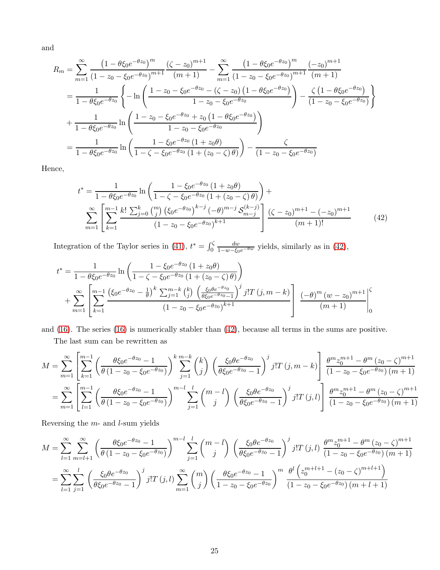and

$$
R_m = \sum_{m=1}^{\infty} \frac{\left(1 - \theta \xi_0 e^{-\theta z_0}\right)^m}{\left(1 - z_0 - \xi_0 e^{-\theta z_0}\right)^{m+1}} \frac{\left(\zeta - z_0\right)^{m+1}}{(m+1)} - \sum_{m=1}^{\infty} \frac{\left(1 - \theta \xi_0 e^{-\theta z_0}\right)^m}{\left(1 - z_0 - \xi_0 e^{-\theta z_0}\right)^{m+1}} \frac{\left(-z_0\right)^{m+1}}{(m+1)}
$$
  
\n
$$
= \frac{1}{1 - \theta \xi_0 e^{-\theta z_0}} \left\{-\ln\left(\frac{1 - z_0 - \xi_0 e^{-\theta z_0} - \left(\zeta - z_0\right)\left(1 - \theta \xi_0 e^{-\theta z_0}\right)}{1 - z_0 - \xi_0 e^{-\theta z_0}}\right) - \frac{\zeta\left(1 - \theta \xi_0 e^{-\theta z_0}\right)}{\left(1 - z_0 - \xi_0 e^{-\theta z_0}\right)}\right\}
$$
  
\n
$$
+ \frac{1}{1 - \theta \xi_0 e^{-\theta z_0}} \ln\left(\frac{1 - z_0 - \xi_0 e^{-\theta z_0} + z_0\left(1 - \theta \xi_0 e^{-\theta z_0}\right)}{1 - z_0 - \xi_0 e^{-\theta z_0}}\right)
$$
  
\n
$$
= \frac{1}{1 - \theta \xi_0 e^{-\theta z_0}} \ln\left(\frac{1 - \xi_0 e^{-\theta z_0}\left(1 + z_0 \theta\right)}{1 - \zeta - \xi_0 e^{-\theta z_0}\left(1 + \left(z_0 - \zeta\right) \theta\right)}\right) - \frac{\zeta}{\left(1 - z_0 - \xi_0 e^{-\theta z_0}\right)}
$$

Hence,

<span id="page-24-0"></span>
$$
t^* = \frac{1}{1 - \theta \xi_0 e^{-\theta z_0}} \ln \left( \frac{1 - \xi_0 e^{-\theta z_0} \left( 1 + z_0 \theta \right)}{1 - \zeta - \xi_0 e^{-\theta z_0} \left( 1 + (z_0 - \zeta) \theta \right)} \right) + \sum_{m=1}^{\infty} \left[ \sum_{k=1}^{m-1} \frac{k! \sum_{j=0}^k \binom{m}{j} \left( \xi_0 e^{-\theta z_0} \right)^{k-j} \left( -\theta \right)^{m-j} \mathcal{S}_{m-j}^{(k-j)} \right] \frac{\left( \zeta - z_0 \right)^{m+1} - \left( -z_0 \right)^{m+1}}{\left( m+1 \right)!} \tag{42}
$$

Integration of the Taylor series in [\(41\)](#page-23-0),  $t^* = \int_0^{\zeta}$  $\frac{dw}{1-w-\xi_0e^{-\theta w}}$  yields, similarly as in [\(42\)](#page-24-0),

$$
t^* = \frac{1}{1 - \theta \xi_0 e^{-\theta z_0}} \ln \left( \frac{1 - \xi_0 e^{-\theta z_0} (1 + z_0 \theta)}{1 - \zeta - \xi_0 e^{-\theta z_0} (1 + (z_0 - \zeta) \theta)} \right)
$$
  
+ 
$$
\sum_{m=1}^{\infty} \left[ \sum_{k=1}^{m-1} \frac{\left( \xi_0 e^{-\theta z_0} - \frac{1}{\theta} \right)^k \sum_{j=1}^{m-k} \binom{k}{j} \left( \frac{\xi_0 \theta e^{-\theta z_0}}{\theta \xi_0 e^{-\theta z_0} - 1} \right)^j j! T(j, m-k)}{(1 - z_0 - \xi_0 e^{-\theta z_0})^{k+1}} \right] \frac{(-\theta)^m (w - z_0)^{m+1}}{(m+1)} \Big|_0^{\zeta}
$$

and [\(16\)](#page-9-3). The series [\(16\)](#page-9-3) is numerically stabler than [\(42\)](#page-24-0), because all terms in the sums are positive.

The last sum can be rewritten as

$$
M = \sum_{m=1}^{\infty} \left[ \sum_{k=1}^{m-1} \left( \frac{\theta \xi_0 e^{-\theta z_0} - 1}{\theta (1 - z_0 - \xi_0 e^{-\theta z_0})} \right)^k \sum_{j=1}^{m-k} \binom{k}{j} \left( \frac{\xi_0 \theta e^{-\theta z_0}}{\theta \xi_0 e^{-\theta z_0} - 1} \right)^j j! T(j, m-k) \right] \frac{\theta^m z_0^{m+1} - \theta^m (z_0 - \zeta)^{m+1}}{(1 - z_0 - \xi_0 e^{-\theta z_0}) (m+1)} = \sum_{m=1}^{\infty} \left[ \sum_{l=1}^{m-1} \left( \frac{\theta \xi_0 e^{-\theta z_0} - 1}{\theta (1 - z_0 - \xi_0 e^{-\theta z_0})} \right)^m \sum_{j=1}^l \binom{m-l}{j} \left( \frac{\xi_0 \theta e^{-\theta z_0}}{\theta \xi_0 e^{-\theta z_0} - 1} \right)^j j! T(j, l) \right] \frac{\theta^m z_0^{m+1} - \theta^m (z_0 - \zeta)^{m+1}}{(1 - z_0 - \xi_0 e^{-\theta z_0}) (m+1)}
$$

Reversing the  $m$ - and  $l$ -sum yields

$$
M = \sum_{l=1}^{\infty} \sum_{m=l+1}^{\infty} \left( \frac{\theta \xi_0 e^{-\theta z_0} - 1}{\theta (1 - z_0 - \xi_0 e^{-\theta z_0})} \right)^{m-l} \sum_{j=1}^{l} {m-l \choose j} \left( \frac{\xi_0 \theta e^{-\theta z_0}}{\theta \xi_0 e^{-\theta z_0} - 1} \right)^j j! T(j,l) \frac{\theta^m z_0^{m+1} - \theta^m (z_0 - \zeta)^{m+1}}{(1 - z_0 - \xi_0 e^{-\theta z_0}) (m+1)}
$$
  
= 
$$
\sum_{l=1}^{\infty} \sum_{j=1}^{l} \left( \frac{\xi_0 \theta e^{-\theta z_0}}{\theta \xi_0 e^{-\theta z_0} - 1} \right)^j j! T(j,l) \sum_{m=1}^{\infty} {m \choose j} \left( \frac{\theta \xi_0 e^{-\theta z_0} - 1}{1 - z_0 - \xi_0 e^{-\theta z_0}} \right)^m \frac{\theta^l \left( z_0^{m+l+1} - (z_0 - \zeta)^{m+l+1} \right)}{(1 - z_0 - \xi_0 e^{-\theta z_0}) (m+l+1)}
$$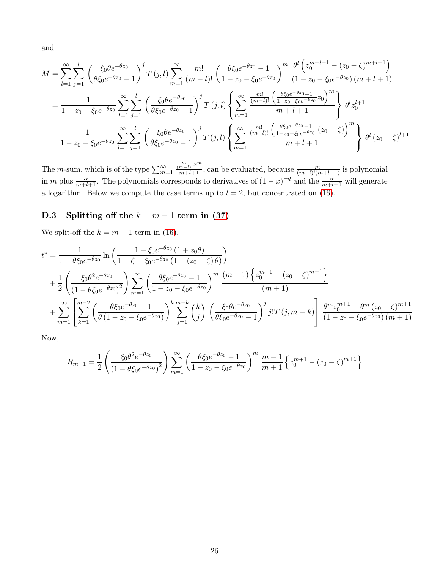and

$$
M = \sum_{l=1}^{\infty} \sum_{j=1}^{l} \left( \frac{\xi_0 \theta e^{-\theta z_0}}{\theta \xi_0 e^{-\theta z_0} - 1} \right)^j T(j, l) \sum_{m=1}^{\infty} \frac{m!}{(m-l)!} \left( \frac{\theta \xi_0 e^{-\theta z_0} - 1}{1 - z_0 - \xi_0 e^{-\theta z_0}} \right)^m \frac{\theta^l \left( z_0^{m+l+1} - (z_0 - \zeta)^{m+l+1} \right)}{(1 - z_0 - \xi_0 e^{-\theta z_0}) (m+l+1)}
$$
  

$$
= \frac{1}{1 - z_0 - \xi_0 e^{-\theta z_0}} \sum_{l=1}^{\infty} \sum_{j=1}^{l} \left( \frac{\xi_0 \theta e^{-\theta z_0}}{\theta \xi_0 e^{-\theta z_0} - 1} \right)^j T(j, l) \left\{ \sum_{m=1}^{\infty} \frac{\frac{m!}{(m-l)!} \left( \frac{\theta \xi_0 e^{-\theta z_0} - 1}{1 - z_0 - \xi_0 e^{-\theta z_0}} z_0 \right)^m}{m+l+1} \right\} \theta^l z_0^{l+1}
$$
  

$$
- \frac{1}{1 - z_0 - \xi_0 e^{-\theta z_0}} \sum_{l=1}^{\infty} \sum_{j=1}^{l} \left( \frac{\xi_0 \theta e^{-\theta z_0}}{\theta \xi_0 e^{-\theta z_0} - 1} \right)^j T(j, l) \left\{ \sum_{m=1}^{\infty} \frac{\frac{m!}{(m-l)!} \left( \frac{\theta \xi_0 e^{-\theta z_0} - 1}{1 - z_0 - \xi_0 e^{-\theta z_0}} (z_0 - \zeta) \right)^m}{m+l+1} \right\} \theta^l (z_0 - \zeta)^{l+1}
$$

The *m*-sum, which is of the type  $\sum_{m=1}^{\infty}$  $\frac{\frac{m!}{(m-l)!}x^m}{m+l+1}$ , can be evaluated, because  $\frac{m!}{(m-l)!(m+l+1)}$  is polynomial in m plus  $\frac{\alpha}{m+l+1}$ . The polynomials corresponds to derivatives of  $(1-x)^{-q}$  and the  $\frac{\alpha}{m+l+1}$  will generate a logarithm. Below we compute the case terms up to  $l = 2$ , but concentrated on [\(16\)](#page-9-3).

# D.3 Splitting off the  $k = m - 1$  term in [\(37\)](#page-20-0)

We split-off the  $k = m - 1$  term in [\(16\)](#page-9-3),

$$
t^* = \frac{1}{1 - \theta \xi_0 e^{-\theta z_0}} \ln \left( \frac{1 - \xi_0 e^{-\theta z_0} \left( 1 + z_0 \theta \right)}{1 - \zeta - \xi_0 e^{-\theta z_0} \left( 1 + (z_0 - \zeta) \theta \right)} \right)
$$
  
+ 
$$
\frac{1}{2} \left( \frac{\xi_0 \theta^2 e^{-\theta z_0}}{\left( 1 - \theta \xi_0 e^{-\theta z_0} \right)^2} \right) \sum_{m=1}^{\infty} \left( \frac{\theta \xi_0 e^{-\theta z_0} - 1}{1 - z_0 - \xi_0 e^{-\theta z_0}} \right)^m \frac{(m-1) \left\{ z_0^{m+1} - (z_0 - \zeta)^{m+1} \right\}}{(m+1)} \right.
$$
  
+ 
$$
\sum_{m=1}^{\infty} \left[ \sum_{k=1}^{m-2} \left( \frac{\theta \xi_0 e^{-\theta z_0} - 1}{\theta \left( 1 - z_0 - \xi_0 e^{-\theta z_0} \right)} \right)^k \sum_{j=1}^{m-k} \binom{k}{j} \left( \frac{\xi_0 \theta e^{-\theta z_0}}{\theta \xi_0 e^{-\theta z_0} - 1} \right)^j j! T(j, m-k) \right] \frac{\theta^m z_0^{m+1} - \theta^m (z_0 - \zeta)^{m+1}}{\left( 1 - z_0 - \xi_0 e^{-\theta z_0} \right) (m+1)}
$$

Now,

$$
R_{m-1} = \frac{1}{2} \left( \frac{\xi_0 \theta^2 e^{-\theta z_0}}{\left(1 - \theta \xi_0 e^{-\theta z_0}\right)^2} \right) \sum_{m=1}^{\infty} \left( \frac{\theta \xi_0 e^{-\theta z_0} - 1}{1 - z_0 - \xi_0 e^{-\theta z_0}} \right)^m \frac{m-1}{m+1} \left\{ z_0^{m+1} - (z_0 - \zeta)^{m+1} \right\}
$$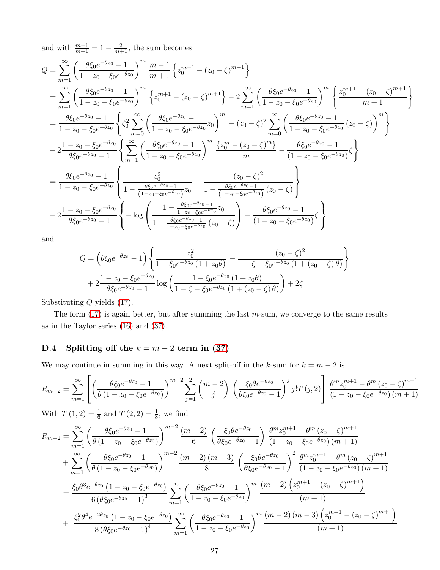and with  $\frac{m-1}{m+1} = 1 - \frac{2}{m+1}$ , the sum becomes

$$
Q = \sum_{m=1}^{\infty} \left( \frac{\theta \xi_0 e^{-\theta z_0} - 1}{1 - z_0 - \xi_0 e^{-\theta z_0}} \right)^m \frac{m-1}{m+1} \left\{ z_0^{m+1} - (z_0 - \zeta)^{m+1} \right\}
$$
  
\n
$$
= \sum_{m=1}^{\infty} \left( \frac{\theta \xi_0 e^{-\theta z_0} - 1}{1 - z_0 - \xi_0 e^{-\theta z_0}} \right)^m \left\{ z_0^{m+1} - (z_0 - \zeta)^{m+1} \right\} - 2 \sum_{m=1}^{\infty} \left( \frac{\theta \xi_0 e^{-\theta z_0} - 1}{1 - z_0 - \xi_0 e^{-\theta z_0}} \right)^m \left\{ \frac{z_0^{m+1} - (z_0 - \zeta)^{m+1}}{m+1} \right\}
$$
  
\n
$$
= \frac{\theta \xi_0 e^{-\theta z_0} - 1}{1 - z_0 - \xi_0 e^{-\theta z_0}} \left\{ \zeta_0^2 \sum_{m=0}^{\infty} \left( \frac{\theta \xi_0 e^{-\theta z_0} - 1}{1 - z_0 - \xi_0 e^{-\theta z_0}} z_0 \right)^m - (z_0 - \zeta)^2 \sum_{m=0}^{\infty} \left( \frac{\theta \xi_0 e^{-\theta z_0} - 1}{1 - z_0 - \xi_0 e^{-\theta z_0}} (z_0 - \zeta) \right)^m \right\}
$$
  
\n
$$
- 2 \frac{1 - z_0 - \xi_0 e^{-\theta z_0}}{\theta \xi_0 e^{-\theta z_0} - 1} \left\{ \sum_{m=1}^{\infty} \left( \frac{\theta \xi_0 e^{-\theta z_0} - 1}{1 - z_0 - \xi_0 e^{-\theta z_0}} \right)^m \frac{\left\{ z_0^m - (z_0 - \zeta)^m \right\}}{m} - \frac{\theta \xi_0 e^{-\theta z_0} - 1}{(1 - z_0 - \xi_0 e^{-\theta z_0})} \zeta \right\}
$$
  
\n
$$
= \frac{\theta \xi_0 e^{-\theta z_0} - 1}{1 - z_0 - \xi_0 e^{-\theta z_0}} \left\{ \frac{z_0^2}{1 - \
$$

and

$$
Q = \left(\theta \xi_0 e^{-\theta z_0} - 1\right) \left\{ \frac{z_0^2}{1 - \xi_0 e^{-\theta z_0} \left(1 + z_0 \theta\right)} - \frac{(z_0 - \zeta)^2}{1 - \zeta - \xi_0 e^{-\theta z_0} \left(1 + (z_0 - \zeta) \theta\right)} \right\}
$$
  
+  $2 \frac{1 - z_0 - \xi_0 e^{-\theta z_0}}{\theta \xi_0 e^{-\theta z_0} - 1} \log \left( \frac{1 - \xi_0 e^{-\theta z_0} \left(1 + z_0 \theta\right)}{1 - \zeta - \xi_0 e^{-\theta z_0} \left(1 + (z_0 - \zeta) \theta\right)} \right) + 2\zeta$ 

Substituting Q yields [\(17\)](#page-10-0).

The form  $(17)$  is again better, but after summing the last m-sum, we converge to the same results as in the Taylor series [\(16\)](#page-9-3) and [\(37\)](#page-20-0).

# D.4 Splitting off the  $k = m - 2$  term in [\(37\)](#page-20-0)

We may continue in summing in this way. A next split-off in the k-sum for  $k = m - 2$  is

$$
R_{m-2} = \sum_{m=1}^{\infty} \left[ \left( \frac{\theta \xi_0 e^{-\theta z_0} - 1}{\theta (1 - z_0 - \xi_0 e^{-\theta z_0})} \right)^{m-2} \sum_{j=1}^{2} {m-2 \choose j} \left( \frac{\xi_0 \theta e^{-\theta z_0}}{\theta \xi_0 e^{-\theta z_0} - 1} \right)^j j! T(j, 2) \right] \frac{\theta^m z_0^{m+1} - \theta^m (z_0 - \zeta)^{m+1}}{(1 - z_0 - \xi_0 e^{-\theta z_0}) (m+1)}
$$

With  $T(1, 2) = \frac{1}{6}$  and  $T(2, 2) = \frac{1}{8}$ , we find

$$
R_{m-2} = \sum_{m=1}^{\infty} \left( \frac{\theta \xi_0 e^{-\theta z_0} - 1}{\theta (1 - z_0 - \xi_0 e^{-\theta z_0})} \right)^{m-2} \frac{(m-2)}{6} \left( \frac{\xi_0 \theta e^{-\theta z_0}}{\theta \xi_0 e^{-\theta z_0} - 1} \right) \frac{\theta^m z_0^{m+1} - \theta^m (z_0 - \zeta)^{m+1}}{(1 - z_0 - \xi_0 e^{-\theta z_0}) (m+1)} + \sum_{m=1}^{\infty} \left( \frac{\theta \xi_0 e^{-\theta z_0} - 1}{\theta (1 - z_0 - \xi_0 e^{-\theta z_0})} \right)^{m-2} \frac{(m-2)(m-3)}{8} \left( \frac{\xi_0 \theta e^{-\theta z_0}}{\theta \xi_0 e^{-\theta z_0} - 1} \right)^2 \frac{\theta^m z_0^{m+1} - \theta^m (z_0 - \zeta)^{m+1}}{(1 - z_0 - \xi_0 e^{-\theta z_0}) (m+1)} = \frac{\xi_0 \theta^3 e^{-\theta z_0} (1 - z_0 - \xi_0 e^{-\theta z_0})}{6 (\theta \xi_0 e^{-\theta z_0} - 1)^3} \sum_{m=1}^{\infty} \left( \frac{\theta \xi_0 e^{-\theta z_0} - 1}{1 - z_0 - \xi_0 e^{-\theta z_0}} \right)^m \frac{(m-2) \left( z_0^{m+1} - (z_0 - \zeta)^{m+1} \right)}{(m+1)} + \frac{\xi_0^2 \theta^4 e^{-2\theta z_0} (1 - z_0 - \xi_0 e^{-\theta z_0})}{8 (\theta \xi_0 e^{-\theta z_0} - 1)^4} \sum_{m=1}^{\infty} \left( \frac{\theta \xi_0 e^{-\theta z_0} - 1}{1 - z_0 - \xi_0 e^{-\theta z_0}} \right)^m \frac{(m-2)(m-3) \left( z_0^{m+1} - (z_0 - \zeta)^{m+1} \right)}{(m+1)}
$$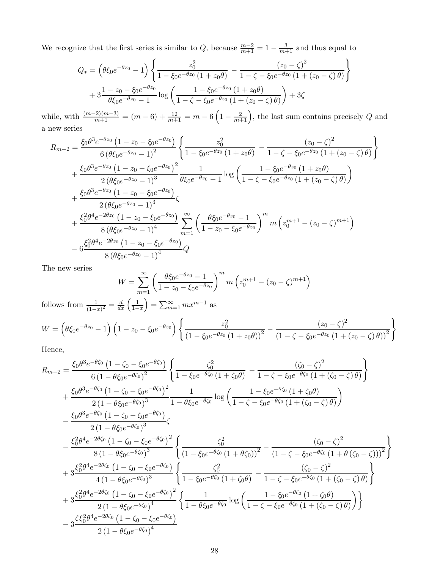We recognize that the first series is similar to Q, because  $\frac{m-2}{m+1} = 1 - \frac{3}{m+1}$  and thus equal to

$$
Q_{*} = \left(\theta\xi_{0}e^{-\theta z_{0}} - 1\right)\left\{\frac{z_{0}^{2}}{1 - \xi_{0}e^{-\theta z_{0}}\left(1 + z_{0}\theta\right)} - \frac{\left(z_{0} - \zeta\right)^{2}}{1 - \zeta - \xi_{0}e^{-\theta z_{0}}\left(1 + \left(z_{0} - \zeta\right)\theta\right)}\right\}
$$

$$
+ 3\frac{1 - z_{0} - \xi_{0}e^{-\theta z_{0}}}{\theta\xi_{0}e^{-\theta z_{0}} - 1}\log\left(\frac{1 - \xi_{0}e^{-\theta z_{0}}\left(1 + z_{0}\theta\right)}{1 - \zeta - \xi_{0}e^{-\theta z_{0}}\left(1 + \left(z_{0} - \zeta\right)\theta\right)}\right) + 3\zeta
$$

while, with  $\frac{(m-2)(m-3)}{m+1} = (m-6) + \frac{12}{m+1} = m-6\left(1-\frac{2}{m+1}\right)$ , the last sum contains precisely Q and a new series

$$
R_{m-2} = \frac{\xi_0 \theta^3 e^{-\theta z_0} (1 - z_0 - \xi_0 e^{-\theta z_0})}{6 (\theta \xi_0 e^{-\theta z_0} - 1)^2} \left\{ \frac{z_0^2}{1 - \xi_0 e^{-\theta z_0} (1 + z_0 \theta)} - \frac{(z_0 - \zeta)^2}{1 - \zeta - \xi_0 e^{-\theta z_0} (1 + (z_0 - \zeta) \theta)} \right\}
$$
  
+ 
$$
\frac{\xi_0 \theta^3 e^{-\theta z_0} (1 - z_0 - \xi_0 e^{-\theta z_0})^2}{2 (\theta \xi_0 e^{-\theta z_0} - 1)^3} \frac{1}{\theta \xi_0 e^{-\theta z_0} - 1} \log \left( \frac{1 - \xi_0 e^{-\theta z_0} (1 + z_0 \theta)}{1 - \zeta - \xi_0 e^{-\theta z_0} (1 + (z_0 - \zeta) \theta)} \right)
$$
  
+ 
$$
\frac{\xi_0 \theta^3 e^{-\theta z_0} (1 - z_0 - \xi_0 e^{-\theta z_0})}{2 (\theta \xi_0 e^{-\theta z_0} - 1)^3} \zeta
$$
  
+ 
$$
\frac{\xi_0^2 \theta^4 e^{-2\theta z_0} (1 - z_0 - \xi_0 e^{-\theta z_0})}{8 (\theta \xi_0 e^{-\theta z_0} - 1)^4} \sum_{m=1}^{\infty} \left( \frac{\theta \xi_0 e^{-\theta z_0} - 1}{1 - z_0 - \xi_0 e^{-\theta z_0}} \right)^m m \left( z_0^{m+1} - (z_0 - \zeta)^{m+1} \right)
$$
  
- 
$$
6 \frac{\xi_0^2 \theta^4 e^{-2\theta z_0} (1 - z_0 - \xi_0 e^{-\theta z_0})}{8 (\theta \xi_0 e^{-\theta z_0} - 1)^4} Q
$$

The new series

$$
W = \sum_{m=1}^{\infty} \left( \frac{\theta \xi_0 e^{-\theta z_0} - 1}{1 - z_0 - \xi_0 e^{-\theta z_0}} \right)^m m \left( z_0^{m+1} - (z_0 - \zeta)^{m+1} \right)
$$

follows from  $\frac{1}{(1-x)^2} = \frac{d}{dx} \left( \frac{1}{1-x} \right)$  $=\sum_{m=1}^{\infty} mx^{m-1}$  as

$$
W = \left(\theta \xi_0 e^{-\theta z_0} - 1\right) \left(1 - z_0 - \xi_0 e^{-\theta z_0}\right) \left\{ \frac{z_0^2}{\left(1 - \xi_0 e^{-\theta z_0} \left(1 + z_0 \theta\right)\right)^2} - \frac{(z_0 - \zeta)^2}{\left(1 - \zeta - \xi_0 e^{-\theta z_0} \left(1 + (z_0 - \zeta) \theta\right)\right)^2} \right\}
$$

Hence,

$$
R_{m-2} = \frac{\xi_0 \theta^3 e^{-\theta \zeta_0} (1 - \zeta_0 - \zeta_0 e^{-\theta \zeta_0})}{6 (1 - \theta \xi_0 e^{-\theta \zeta_0})^2} \left\{ \frac{\zeta_0^2}{1 - \xi_0 e^{-\theta \zeta_0} (1 + \zeta_0 \theta)} - \frac{(\zeta_0 - \zeta)^2}{1 - \zeta - \xi_0 e^{-\theta \zeta_0} (1 + (\zeta_0 - \zeta) \theta)} \right\} + \frac{\xi_0 \theta^3 e^{-\theta \zeta_0} (1 - \zeta_0 - \xi_0 e^{-\theta \zeta_0})^2}{2 (1 - \theta \xi_0 e^{-\theta \zeta_0})^3} \frac{1}{1 - \theta \xi_0 e^{-\theta \zeta_0}} \log \left( \frac{1 - \xi_0 e^{-\theta \zeta_0} (1 + \zeta_0 \theta)}{1 - \zeta - \xi_0 e^{-\theta \zeta_0} (1 + (\zeta_0 - \zeta) \theta)} \right) - \frac{\xi_0 \theta^3 e^{-\theta \zeta_0} (1 - \zeta_0 - \xi_0 e^{-\theta \zeta_0})}{2 (1 - \theta \xi_0 e^{-\theta \zeta_0})^3} \zeta - \frac{\xi_0^2 \theta^4 e^{-2\theta \zeta_0} (1 - \zeta_0 - \xi_0 e^{-\theta \zeta_0})^2}{8 (1 - \theta \xi_0 e^{-\theta \zeta_0})^3} \left\{ \frac{\zeta_0^2}{(1 - \xi_0 e^{-\theta \zeta_0} (1 + \theta \zeta_0))^2} - \frac{(\zeta_0 - \zeta)^2}{(1 - \zeta - \xi_0 e^{-\theta \zeta_0} (1 + \theta (\zeta_0 - \zeta)))^2} \right\} + 3 \frac{\xi_0^2 \theta^4 e^{-2\theta \zeta_0} (1 - \zeta_0 - \xi_0 e^{-\theta \zeta_0})}{4 (1 - \theta \xi_0 e^{-\theta \zeta_0})^3} \left\{ \frac{\zeta_0^2}{1 - \xi_0 e^{-\theta \zeta_0} (1 + \zeta_0 \theta)} - \frac{(\zeta_0 - \zeta)^2}{1 - \zeta - \xi_0 e^{-\theta \zeta_0} (1 + (\zeta_0 - \zeta)) \
$$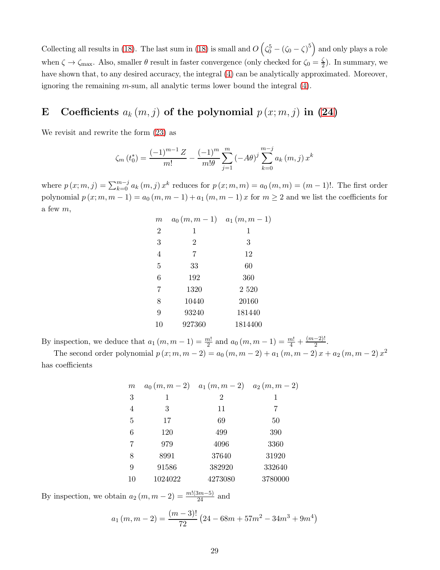Collecting all results in [\(18\)](#page-10-1). The last sum in (18) is small and  $O(\zeta_0^5 - (\zeta_0 - \zeta)^5)$  and only plays a role when  $\zeta \to \zeta_{\text{max}}$ . Also, smaller  $\theta$  result in faster convergence (only checked for  $\zeta_0 = \frac{\zeta}{2}$  $\frac{\zeta}{2}$ ). In summary, we have shown that, to any desired accuracy, the integral [\(4\)](#page-1-2) can be analytically approximated. Moreover, ignoring the remaining  $m$ -sum, all analytic terms lower bound the integral  $(4)$ .

# <span id="page-28-0"></span>E Coefficients  $a_k(m, j)$  of the polynomial  $p(x; m, j)$  in [\(24\)](#page-13-1)

We revisit and rewrite the form [\(23\)](#page-13-0) as

$$
\zeta_m(t_0^*) = \frac{(-1)^{m-1} Z}{m!} - \frac{(-1)^m}{m! \theta} \sum_{j=1}^m (-A\theta)^j \sum_{k=0}^{m-j} a_k (m, j) x^k
$$

where  $p(x; m, j) = \sum_{k=0}^{m-j} a_k(m, j) x^k$  reduces for  $p(x; m, m) = a_0(m, m) = (m - 1)!$ . The first order polynomial  $p(x; m, m - 1) = a_0(m, m - 1) + a_1(m, m - 1)x$  for  $m \ge 2$  and we list the coefficients for a few  $m$ ,

| $\,m$          | $a_0(m,m-1)$   | $a_1(m,m-1)$ |
|----------------|----------------|--------------|
| $\mathbf{2}$   | 1              | 1            |
| 3              | $\overline{2}$ | 3            |
| $\overline{4}$ | 7              | 12           |
| 5              | 33             | 60           |
| 6              | 192            | 360          |
| $\overline{7}$ | 1320           | 2 5 20       |
| 8              | 10440          | 20160        |
| 9              | 93240          | 181440       |
| 10             | 927360         | 1814400      |

By inspection, we deduce that  $a_1(m, m-1) = \frac{m!}{2}$  and  $a_0(m, m-1) = \frac{m!}{4} + \frac{(m-2)!}{2}$ .

The second order polynomial  $p(x; m, m - 2) = a_0(m, m - 2) + a_1(m, m - 2)x + a_2(m, m - 2)x^2$ has coefficients

| $\boldsymbol{m}$ |         | $a_0(m,m-2)$ $a_1(m,m-2)$ $a_2(m,m-2)$ |         |
|------------------|---------|----------------------------------------|---------|
| 3                | 1       | $\overline{2}$                         | 1       |
| $\overline{4}$   | 3       | 11                                     |         |
| 5                | 17      | 69                                     | 50      |
| 6                | 120     | 499                                    | 390     |
| $\overline{7}$   | 979     | 4096                                   | 3360    |
| 8                | 8991    | 37640                                  | 31920   |
| 9                | 91586   | 382920                                 | 332640  |
| 10               | 1024022 | 4273080                                | 3780000 |

By inspection, we obtain  $a_2(m, m-2) = \frac{m!(3m-5)}{24}$  and

$$
a_1(m,m-2) = \frac{(m-3)!}{72} \left(24 - 68m + 57m^2 - 34m^3 + 9m^4\right)
$$